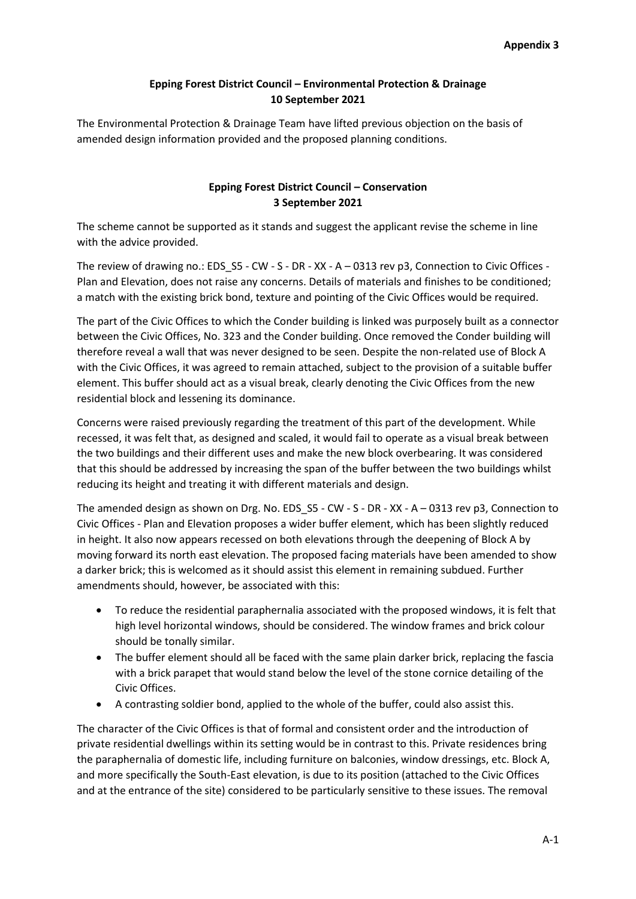# **Epping Forest District Council – Environmental Protection & Drainage 10 September 2021**

The Environmental Protection & Drainage Team have lifted previous objection on the basis of amended design information provided and the proposed planning conditions.

# **Epping Forest District Council – Conservation 3 September 2021**

The scheme cannot be supported as it stands and suggest the applicant revise the scheme in line with the advice provided.

The review of drawing no.: EDS S5 - CW - S - DR - XX - A – 0313 rev p3, Connection to Civic Offices -Plan and Elevation, does not raise any concerns. Details of materials and finishes to be conditioned; a match with the existing brick bond, texture and pointing of the Civic Offices would be required.

The part of the Civic Offices to which the Conder building is linked was purposely built as a connector between the Civic Offices, No. 323 and the Conder building. Once removed the Conder building will therefore reveal a wall that was never designed to be seen. Despite the non-related use of Block A with the Civic Offices, it was agreed to remain attached, subject to the provision of a suitable buffer element. This buffer should act as a visual break, clearly denoting the Civic Offices from the new residential block and lessening its dominance.

Concerns were raised previously regarding the treatment of this part of the development. While recessed, it was felt that, as designed and scaled, it would fail to operate as a visual break between the two buildings and their different uses and make the new block overbearing. It was considered that this should be addressed by increasing the span of the buffer between the two buildings whilst reducing its height and treating it with different materials and design.

The amended design as shown on Drg. No. EDS  $SS$  - CW - S - DR - XX - A – 0313 rev p3, Connection to Civic Offices - Plan and Elevation proposes a wider buffer element, which has been slightly reduced in height. It also now appears recessed on both elevations through the deepening of Block A by moving forward its north east elevation. The proposed facing materials have been amended to show a darker brick; this is welcomed as it should assist this element in remaining subdued. Further amendments should, however, be associated with this:

- To reduce the residential paraphernalia associated with the proposed windows, it is felt that high level horizontal windows, should be considered. The window frames and brick colour should be tonally similar.
- The buffer element should all be faced with the same plain darker brick, replacing the fascia with a brick parapet that would stand below the level of the stone cornice detailing of the Civic Offices.
- A contrasting soldier bond, applied to the whole of the buffer, could also assist this.

The character of the Civic Offices is that of formal and consistent order and the introduction of private residential dwellings within its setting would be in contrast to this. Private residences bring the paraphernalia of domestic life, including furniture on balconies, window dressings, etc. Block A, and more specifically the South-East elevation, is due to its position (attached to the Civic Offices and at the entrance of the site) considered to be particularly sensitive to these issues. The removal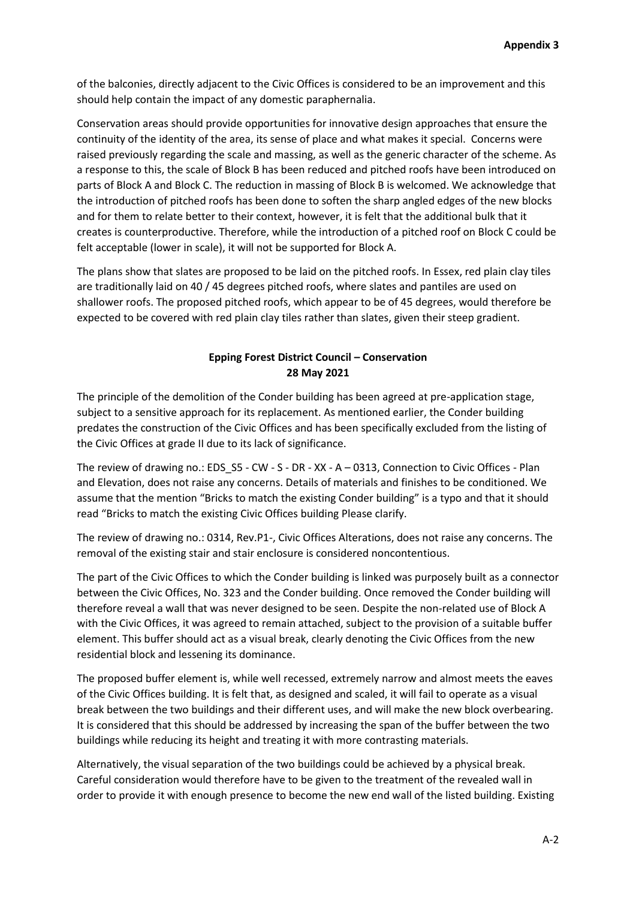of the balconies, directly adjacent to the Civic Offices is considered to be an improvement and this should help contain the impact of any domestic paraphernalia.

Conservation areas should provide opportunities for innovative design approaches that ensure the continuity of the identity of the area, its sense of place and what makes it special. Concerns were raised previously regarding the scale and massing, as well as the generic character of the scheme. As a response to this, the scale of Block B has been reduced and pitched roofs have been introduced on parts of Block A and Block C. The reduction in massing of Block B is welcomed. We acknowledge that the introduction of pitched roofs has been done to soften the sharp angled edges of the new blocks and for them to relate better to their context, however, it is felt that the additional bulk that it creates is counterproductive. Therefore, while the introduction of a pitched roof on Block C could be felt acceptable (lower in scale), it will not be supported for Block A.

The plans show that slates are proposed to be laid on the pitched roofs. In Essex, red plain clay tiles are traditionally laid on 40 / 45 degrees pitched roofs, where slates and pantiles are used on shallower roofs. The proposed pitched roofs, which appear to be of 45 degrees, would therefore be expected to be covered with red plain clay tiles rather than slates, given their steep gradient.

### **Epping Forest District Council – Conservation 28 May 2021**

The principle of the demolition of the Conder building has been agreed at pre-application stage, subject to a sensitive approach for its replacement. As mentioned earlier, the Conder building predates the construction of the Civic Offices and has been specifically excluded from the listing of the Civic Offices at grade II due to its lack of significance.

The review of drawing no.: EDS S5 - CW - S - DR - XX - A – 0313, Connection to Civic Offices - Plan and Elevation, does not raise any concerns. Details of materials and finishes to be conditioned. We assume that the mention "Bricks to match the existing Conder building" is a typo and that it should read "Bricks to match the existing Civic Offices building Please clarify.

The review of drawing no.: 0314, Rev.P1-, Civic Offices Alterations, does not raise any concerns. The removal of the existing stair and stair enclosure is considered noncontentious.

The part of the Civic Offices to which the Conder building is linked was purposely built as a connector between the Civic Offices, No. 323 and the Conder building. Once removed the Conder building will therefore reveal a wall that was never designed to be seen. Despite the non-related use of Block A with the Civic Offices, it was agreed to remain attached, subject to the provision of a suitable buffer element. This buffer should act as a visual break, clearly denoting the Civic Offices from the new residential block and lessening its dominance.

The proposed buffer element is, while well recessed, extremely narrow and almost meets the eaves of the Civic Offices building. It is felt that, as designed and scaled, it will fail to operate as a visual break between the two buildings and their different uses, and will make the new block overbearing. It is considered that this should be addressed by increasing the span of the buffer between the two buildings while reducing its height and treating it with more contrasting materials.

Alternatively, the visual separation of the two buildings could be achieved by a physical break. Careful consideration would therefore have to be given to the treatment of the revealed wall in order to provide it with enough presence to become the new end wall of the listed building. Existing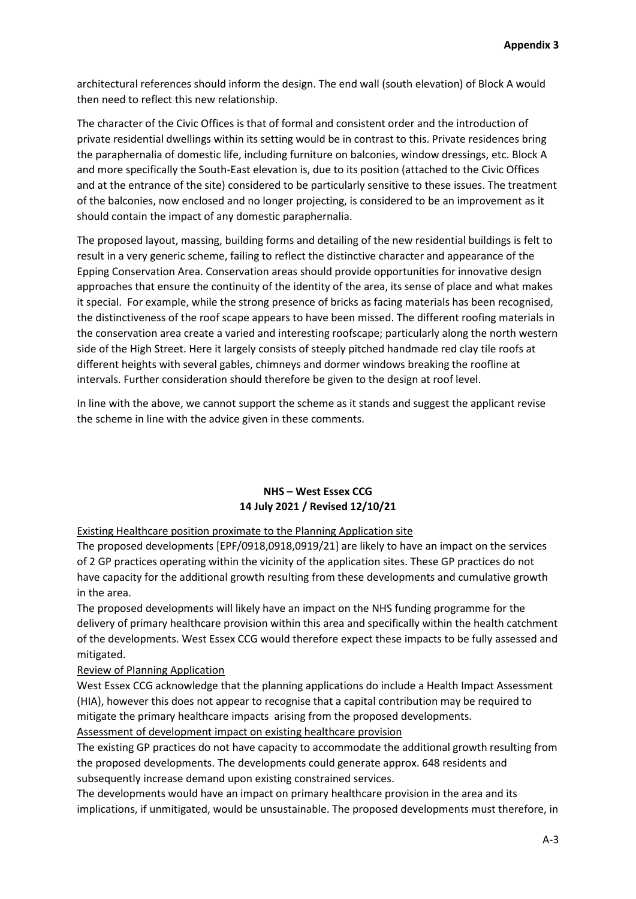architectural references should inform the design. The end wall (south elevation) of Block A would then need to reflect this new relationship.

The character of the Civic Offices is that of formal and consistent order and the introduction of private residential dwellings within its setting would be in contrast to this. Private residences bring the paraphernalia of domestic life, including furniture on balconies, window dressings, etc. Block A and more specifically the South-East elevation is, due to its position (attached to the Civic Offices and at the entrance of the site) considered to be particularly sensitive to these issues. The treatment of the balconies, now enclosed and no longer projecting, is considered to be an improvement as it should contain the impact of any domestic paraphernalia.

The proposed layout, massing, building forms and detailing of the new residential buildings is felt to result in a very generic scheme, failing to reflect the distinctive character and appearance of the Epping Conservation Area. Conservation areas should provide opportunities for innovative design approaches that ensure the continuity of the identity of the area, its sense of place and what makes it special. For example, while the strong presence of bricks as facing materials has been recognised, the distinctiveness of the roof scape appears to have been missed. The different roofing materials in the conservation area create a varied and interesting roofscape; particularly along the north western side of the High Street. Here it largely consists of steeply pitched handmade red clay tile roofs at different heights with several gables, chimneys and dormer windows breaking the roofline at intervals. Further consideration should therefore be given to the design at roof level.

In line with the above, we cannot support the scheme as it stands and suggest the applicant revise the scheme in line with the advice given in these comments.

# **NHS – West Essex CCG 14 July 2021 / Revised 12/10/21**

Existing Healthcare position proximate to the Planning Application site

The proposed developments [EPF/0918,0918,0919/21] are likely to have an impact on the services of 2 GP practices operating within the vicinity of the application sites. These GP practices do not have capacity for the additional growth resulting from these developments and cumulative growth in the area.

The proposed developments will likely have an impact on the NHS funding programme for the delivery of primary healthcare provision within this area and specifically within the health catchment of the developments. West Essex CCG would therefore expect these impacts to be fully assessed and mitigated.

#### Review of Planning Application

West Essex CCG acknowledge that the planning applications do include a Health Impact Assessment (HIA), however this does not appear to recognise that a capital contribution may be required to mitigate the primary healthcare impacts arising from the proposed developments.

Assessment of development impact on existing healthcare provision

The existing GP practices do not have capacity to accommodate the additional growth resulting from the proposed developments. The developments could generate approx. 648 residents and subsequently increase demand upon existing constrained services.

The developments would have an impact on primary healthcare provision in the area and its implications, if unmitigated, would be unsustainable. The proposed developments must therefore, in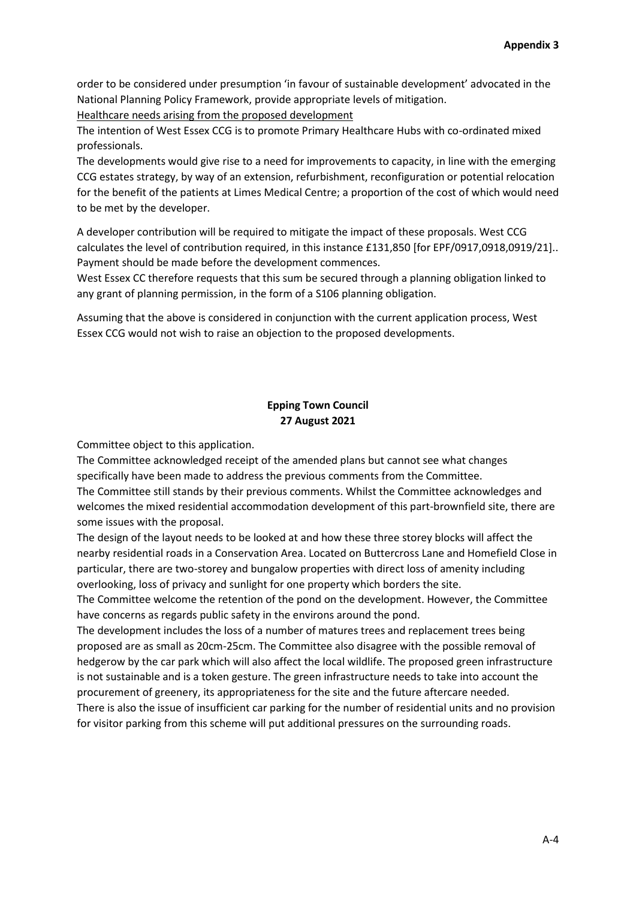order to be considered under presumption 'in favour of sustainable development' advocated in the National Planning Policy Framework, provide appropriate levels of mitigation.

Healthcare needs arising from the proposed development

The intention of West Essex CCG is to promote Primary Healthcare Hubs with co-ordinated mixed professionals.

The developments would give rise to a need for improvements to capacity, in line with the emerging CCG estates strategy, by way of an extension, refurbishment, reconfiguration or potential relocation for the benefit of the patients at Limes Medical Centre; a proportion of the cost of which would need to be met by the developer.

A developer contribution will be required to mitigate the impact of these proposals. West CCG calculates the level of contribution required, in this instance £131,850 [for EPF/0917,0918,0919/21].. Payment should be made before the development commences.

West Essex CC therefore requests that this sum be secured through a planning obligation linked to any grant of planning permission, in the form of a S106 planning obligation.

Assuming that the above is considered in conjunction with the current application process, West Essex CCG would not wish to raise an objection to the proposed developments.

# **Epping Town Council 27 August 2021**

Committee object to this application.

The Committee acknowledged receipt of the amended plans but cannot see what changes specifically have been made to address the previous comments from the Committee. The Committee still stands by their previous comments. Whilst the Committee acknowledges and welcomes the mixed residential accommodation development of this part-brownfield site, there are some issues with the proposal.

The design of the layout needs to be looked at and how these three storey blocks will affect the nearby residential roads in a Conservation Area. Located on Buttercross Lane and Homefield Close in particular, there are two-storey and bungalow properties with direct loss of amenity including overlooking, loss of privacy and sunlight for one property which borders the site.

The Committee welcome the retention of the pond on the development. However, the Committee have concerns as regards public safety in the environs around the pond.

The development includes the loss of a number of matures trees and replacement trees being proposed are as small as 20cm-25cm. The Committee also disagree with the possible removal of hedgerow by the car park which will also affect the local wildlife. The proposed green infrastructure is not sustainable and is a token gesture. The green infrastructure needs to take into account the procurement of greenery, its appropriateness for the site and the future aftercare needed. There is also the issue of insufficient car parking for the number of residential units and no provision for visitor parking from this scheme will put additional pressures on the surrounding roads.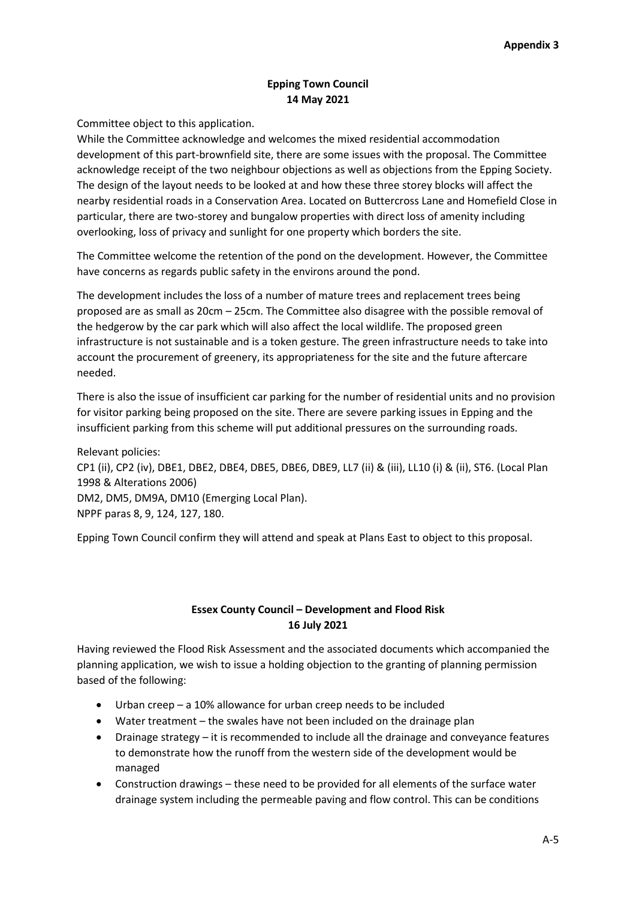# **Epping Town Council 14 May 2021**

Committee object to this application.

While the Committee acknowledge and welcomes the mixed residential accommodation development of this part-brownfield site, there are some issues with the proposal. The Committee acknowledge receipt of the two neighbour objections as well as objections from the Epping Society. The design of the layout needs to be looked at and how these three storey blocks will affect the nearby residential roads in a Conservation Area. Located on Buttercross Lane and Homefield Close in particular, there are two-storey and bungalow properties with direct loss of amenity including overlooking, loss of privacy and sunlight for one property which borders the site.

The Committee welcome the retention of the pond on the development. However, the Committee have concerns as regards public safety in the environs around the pond.

The development includes the loss of a number of mature trees and replacement trees being proposed are as small as 20cm – 25cm. The Committee also disagree with the possible removal of the hedgerow by the car park which will also affect the local wildlife. The proposed green infrastructure is not sustainable and is a token gesture. The green infrastructure needs to take into account the procurement of greenery, its appropriateness for the site and the future aftercare needed.

There is also the issue of insufficient car parking for the number of residential units and no provision for visitor parking being proposed on the site. There are severe parking issues in Epping and the insufficient parking from this scheme will put additional pressures on the surrounding roads.

Relevant policies: CP1 (ii), CP2 (iv), DBE1, DBE2, DBE4, DBE5, DBE6, DBE9, LL7 (ii) & (iii), LL10 (i) & (ii), ST6. (Local Plan 1998 & Alterations 2006) DM2, DM5, DM9A, DM10 (Emerging Local Plan). NPPF paras 8, 9, 124, 127, 180.

Epping Town Council confirm they will attend and speak at Plans East to object to this proposal.

# **Essex County Council – Development and Flood Risk 16 July 2021**

Having reviewed the Flood Risk Assessment and the associated documents which accompanied the planning application, we wish to issue a holding objection to the granting of planning permission based of the following:

- Urban creep a 10% allowance for urban creep needs to be included
- Water treatment the swales have not been included on the drainage plan
- Drainage strategy it is recommended to include all the drainage and conveyance features to demonstrate how the runoff from the western side of the development would be managed
- Construction drawings these need to be provided for all elements of the surface water drainage system including the permeable paving and flow control. This can be conditions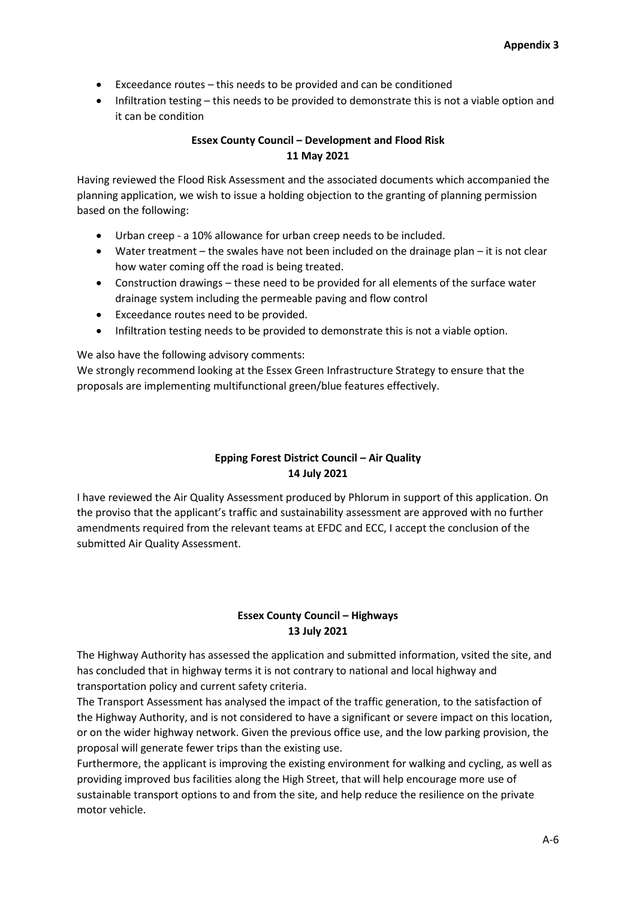- Exceedance routes this needs to be provided and can be conditioned
- Infiltration testing this needs to be provided to demonstrate this is not a viable option and it can be condition

# **Essex County Council – Development and Flood Risk 11 May 2021**

Having reviewed the Flood Risk Assessment and the associated documents which accompanied the planning application, we wish to issue a holding objection to the granting of planning permission based on the following:

- Urban creep a 10% allowance for urban creep needs to be included.
- Water treatment the swales have not been included on the drainage plan it is not clear how water coming off the road is being treated.
- Construction drawings these need to be provided for all elements of the surface water drainage system including the permeable paving and flow control
- Exceedance routes need to be provided.
- Infiltration testing needs to be provided to demonstrate this is not a viable option.

We also have the following advisory comments:

We strongly recommend looking at the Essex Green Infrastructure Strategy to ensure that the proposals are implementing multifunctional green/blue features effectively.

# **Epping Forest District Council – Air Quality 14 July 2021**

I have reviewed the Air Quality Assessment produced by Phlorum in support of this application. On the proviso that the applicant's traffic and sustainability assessment are approved with no further amendments required from the relevant teams at EFDC and ECC, I accept the conclusion of the submitted Air Quality Assessment.

# **Essex County Council – Highways 13 July 2021**

The Highway Authority has assessed the application and submitted information, vsited the site, and has concluded that in highway terms it is not contrary to national and local highway and transportation policy and current safety criteria.

The Transport Assessment has analysed the impact of the traffic generation, to the satisfaction of the Highway Authority, and is not considered to have a significant or severe impact on this location, or on the wider highway network. Given the previous office use, and the low parking provision, the proposal will generate fewer trips than the existing use.

Furthermore, the applicant is improving the existing environment for walking and cycling, as well as providing improved bus facilities along the High Street, that will help encourage more use of sustainable transport options to and from the site, and help reduce the resilience on the private motor vehicle.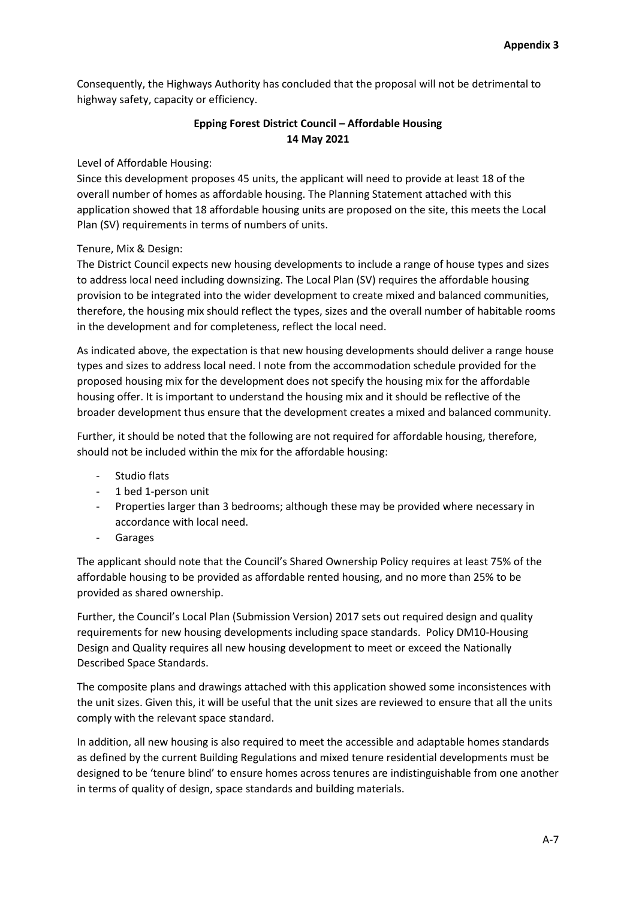Consequently, the Highways Authority has concluded that the proposal will not be detrimental to highway safety, capacity or efficiency.

# **Epping Forest District Council – Affordable Housing 14 May 2021**

Level of Affordable Housing:

Since this development proposes 45 units, the applicant will need to provide at least 18 of the overall number of homes as affordable housing. The Planning Statement attached with this application showed that 18 affordable housing units are proposed on the site, this meets the Local Plan (SV) requirements in terms of numbers of units.

# Tenure, Mix & Design:

The District Council expects new housing developments to include a range of house types and sizes to address local need including downsizing. The Local Plan (SV) requires the affordable housing provision to be integrated into the wider development to create mixed and balanced communities, therefore, the housing mix should reflect the types, sizes and the overall number of habitable rooms in the development and for completeness, reflect the local need.

As indicated above, the expectation is that new housing developments should deliver a range house types and sizes to address local need. I note from the accommodation schedule provided for the proposed housing mix for the development does not specify the housing mix for the affordable housing offer. It is important to understand the housing mix and it should be reflective of the broader development thus ensure that the development creates a mixed and balanced community.

Further, it should be noted that the following are not required for affordable housing, therefore, should not be included within the mix for the affordable housing:

- Studio flats
- 1 bed 1-person unit
- Properties larger than 3 bedrooms; although these may be provided where necessary in accordance with local need.
- Garages

The applicant should note that the Council's Shared Ownership Policy requires at least 75% of the affordable housing to be provided as affordable rented housing, and no more than 25% to be provided as shared ownership.

Further, the Council's Local Plan (Submission Version) 2017 sets out required design and quality requirements for new housing developments including space standards. Policy DM10-Housing Design and Quality requires all new housing development to meet or exceed the Nationally Described Space Standards.

The composite plans and drawings attached with this application showed some inconsistences with the unit sizes. Given this, it will be useful that the unit sizes are reviewed to ensure that all the units comply with the relevant space standard.

In addition, all new housing is also required to meet the accessible and adaptable homes standards as defined by the current Building Regulations and mixed tenure residential developments must be designed to be 'tenure blind' to ensure homes across tenures are indistinguishable from one another in terms of quality of design, space standards and building materials.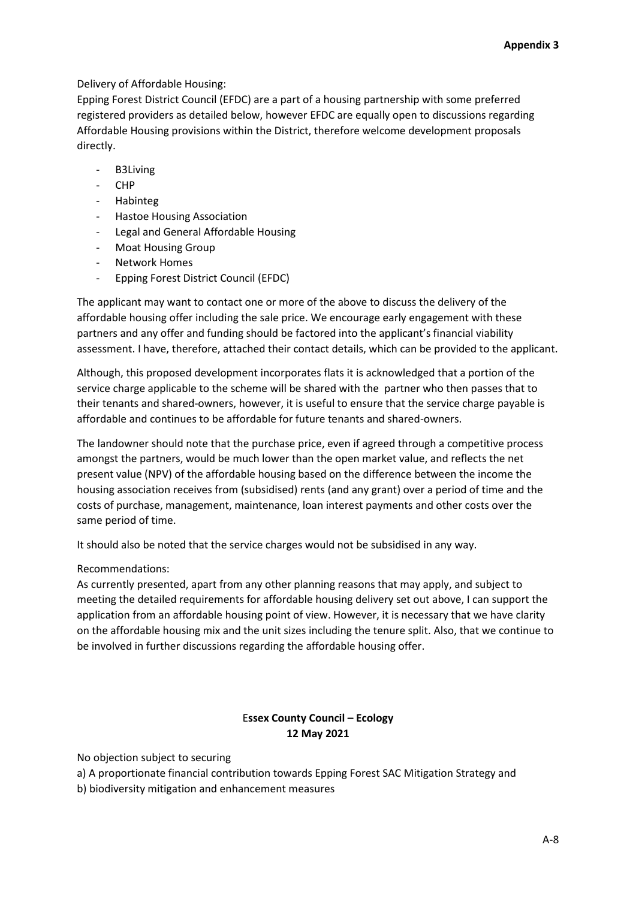# Delivery of Affordable Housing:

Epping Forest District Council (EFDC) are a part of a housing partnership with some preferred registered providers as detailed below, however EFDC are equally open to discussions regarding Affordable Housing provisions within the District, therefore welcome development proposals directly.

- B3Living
- CHP
- Habinteg
- Hastoe Housing Association
- Legal and General Affordable Housing
- Moat Housing Group
- Network Homes
- Epping Forest District Council (EFDC)

The applicant may want to contact one or more of the above to discuss the delivery of the affordable housing offer including the sale price. We encourage early engagement with these partners and any offer and funding should be factored into the applicant's financial viability assessment. I have, therefore, attached their contact details, which can be provided to the applicant.

Although, this proposed development incorporates flats it is acknowledged that a portion of the service charge applicable to the scheme will be shared with the partner who then passes that to their tenants and shared-owners, however, it is useful to ensure that the service charge payable is affordable and continues to be affordable for future tenants and shared-owners.

The landowner should note that the purchase price, even if agreed through a competitive process amongst the partners, would be much lower than the open market value, and reflects the net present value (NPV) of the affordable housing based on the difference between the income the housing association receives from (subsidised) rents (and any grant) over a period of time and the costs of purchase, management, maintenance, loan interest payments and other costs over the same period of time.

It should also be noted that the service charges would not be subsidised in any way.

#### Recommendations:

As currently presented, apart from any other planning reasons that may apply, and subject to meeting the detailed requirements for affordable housing delivery set out above, I can support the application from an affordable housing point of view. However, it is necessary that we have clarity on the affordable housing mix and the unit sizes including the tenure split. Also, that we continue to be involved in further discussions regarding the affordable housing offer.

# E**ssex County Council – Ecology 12 May 2021**

No objection subject to securing

a) A proportionate financial contribution towards Epping Forest SAC Mitigation Strategy and

b) biodiversity mitigation and enhancement measures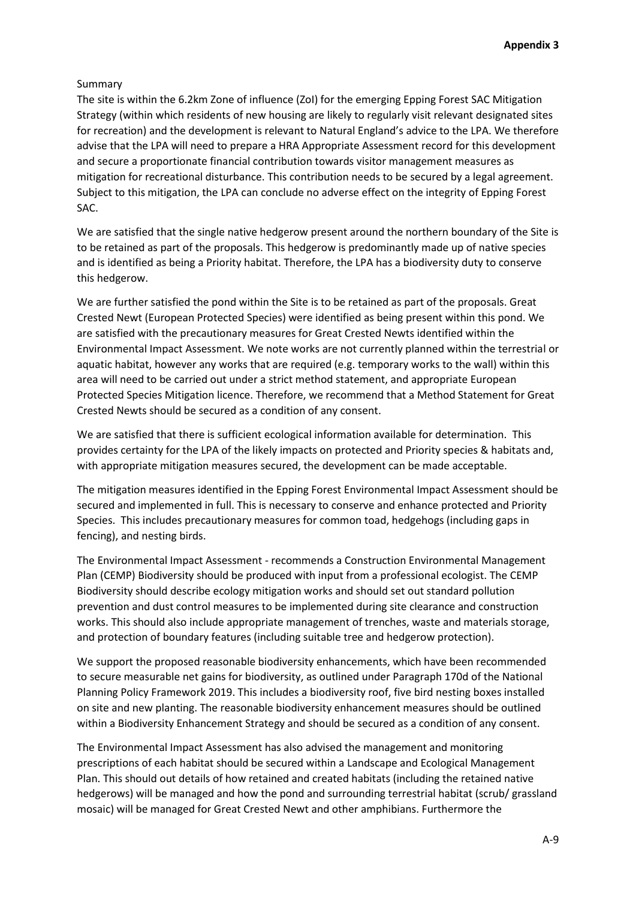### Summary

The site is within the 6.2km Zone of influence (ZoI) for the emerging Epping Forest SAC Mitigation Strategy (within which residents of new housing are likely to regularly visit relevant designated sites for recreation) and the development is relevant to Natural England's advice to the LPA. We therefore advise that the LPA will need to prepare a HRA Appropriate Assessment record for this development and secure a proportionate financial contribution towards visitor management measures as mitigation for recreational disturbance. This contribution needs to be secured by a legal agreement. Subject to this mitigation, the LPA can conclude no adverse effect on the integrity of Epping Forest SAC.

We are satisfied that the single native hedgerow present around the northern boundary of the Site is to be retained as part of the proposals. This hedgerow is predominantly made up of native species and is identified as being a Priority habitat. Therefore, the LPA has a biodiversity duty to conserve this hedgerow.

We are further satisfied the pond within the Site is to be retained as part of the proposals. Great Crested Newt (European Protected Species) were identified as being present within this pond. We are satisfied with the precautionary measures for Great Crested Newts identified within the Environmental Impact Assessment. We note works are not currently planned within the terrestrial or aquatic habitat, however any works that are required (e.g. temporary works to the wall) within this area will need to be carried out under a strict method statement, and appropriate European Protected Species Mitigation licence. Therefore, we recommend that a Method Statement for Great Crested Newts should be secured as a condition of any consent.

We are satisfied that there is sufficient ecological information available for determination. This provides certainty for the LPA of the likely impacts on protected and Priority species & habitats and, with appropriate mitigation measures secured, the development can be made acceptable.

The mitigation measures identified in the Epping Forest Environmental Impact Assessment should be secured and implemented in full. This is necessary to conserve and enhance protected and Priority Species. This includes precautionary measures for common toad, hedgehogs (including gaps in fencing), and nesting birds.

The Environmental Impact Assessment - recommends a Construction Environmental Management Plan (CEMP) Biodiversity should be produced with input from a professional ecologist. The CEMP Biodiversity should describe ecology mitigation works and should set out standard pollution prevention and dust control measures to be implemented during site clearance and construction works. This should also include appropriate management of trenches, waste and materials storage, and protection of boundary features (including suitable tree and hedgerow protection).

We support the proposed reasonable biodiversity enhancements, which have been recommended to secure measurable net gains for biodiversity, as outlined under Paragraph 170d of the National Planning Policy Framework 2019. This includes a biodiversity roof, five bird nesting boxes installed on site and new planting. The reasonable biodiversity enhancement measures should be outlined within a Biodiversity Enhancement Strategy and should be secured as a condition of any consent.

The Environmental Impact Assessment has also advised the management and monitoring prescriptions of each habitat should be secured within a Landscape and Ecological Management Plan. This should out details of how retained and created habitats (including the retained native hedgerows) will be managed and how the pond and surrounding terrestrial habitat (scrub/ grassland mosaic) will be managed for Great Crested Newt and other amphibians. Furthermore the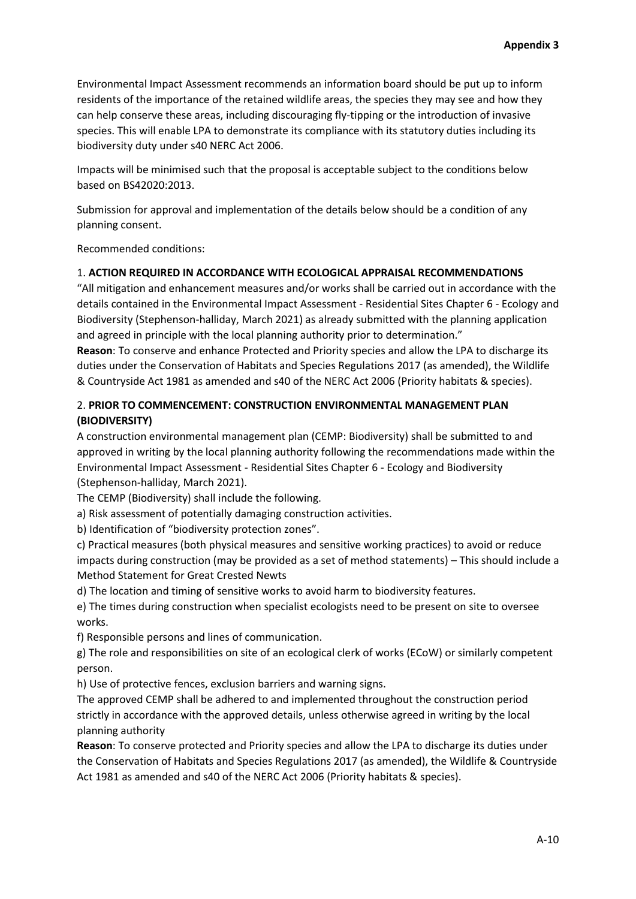Environmental Impact Assessment recommends an information board should be put up to inform residents of the importance of the retained wildlife areas, the species they may see and how they can help conserve these areas, including discouraging fly-tipping or the introduction of invasive species. This will enable LPA to demonstrate its compliance with its statutory duties including its biodiversity duty under s40 NERC Act 2006.

Impacts will be minimised such that the proposal is acceptable subject to the conditions below based on BS42020:2013.

Submission for approval and implementation of the details below should be a condition of any planning consent.

Recommended conditions:

#### 1. **ACTION REQUIRED IN ACCORDANCE WITH ECOLOGICAL APPRAISAL RECOMMENDATIONS**

"All mitigation and enhancement measures and/or works shall be carried out in accordance with the details contained in the Environmental Impact Assessment - Residential Sites Chapter 6 - Ecology and Biodiversity (Stephenson-halliday, March 2021) as already submitted with the planning application and agreed in principle with the local planning authority prior to determination."

**Reason**: To conserve and enhance Protected and Priority species and allow the LPA to discharge its duties under the Conservation of Habitats and Species Regulations 2017 (as amended), the Wildlife & Countryside Act 1981 as amended and s40 of the NERC Act 2006 (Priority habitats & species).

# 2. **PRIOR TO COMMENCEMENT: CONSTRUCTION ENVIRONMENTAL MANAGEMENT PLAN (BIODIVERSITY)**

A construction environmental management plan (CEMP: Biodiversity) shall be submitted to and approved in writing by the local planning authority following the recommendations made within the Environmental Impact Assessment - Residential Sites Chapter 6 - Ecology and Biodiversity (Stephenson-halliday, March 2021).

The CEMP (Biodiversity) shall include the following.

a) Risk assessment of potentially damaging construction activities.

b) Identification of "biodiversity protection zones".

c) Practical measures (both physical measures and sensitive working practices) to avoid or reduce impacts during construction (may be provided as a set of method statements) – This should include a Method Statement for Great Crested Newts

d) The location and timing of sensitive works to avoid harm to biodiversity features.

e) The times during construction when specialist ecologists need to be present on site to oversee works.

f) Responsible persons and lines of communication.

g) The role and responsibilities on site of an ecological clerk of works (ECoW) or similarly competent person.

h) Use of protective fences, exclusion barriers and warning signs.

The approved CEMP shall be adhered to and implemented throughout the construction period strictly in accordance with the approved details, unless otherwise agreed in writing by the local planning authority

**Reason**: To conserve protected and Priority species and allow the LPA to discharge its duties under the Conservation of Habitats and Species Regulations 2017 (as amended), the Wildlife & Countryside Act 1981 as amended and s40 of the NERC Act 2006 (Priority habitats & species).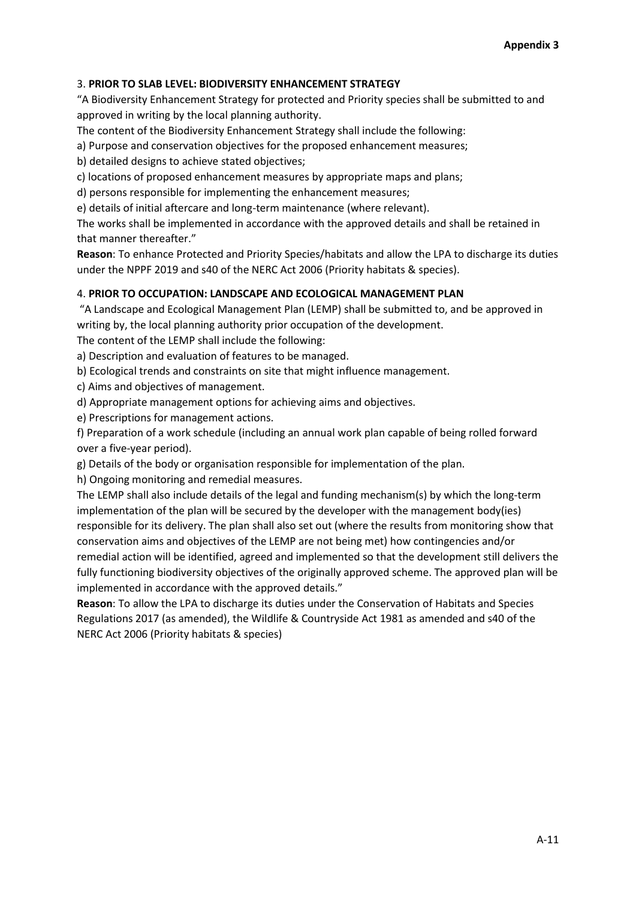## 3. **PRIOR TO SLAB LEVEL: BIODIVERSITY ENHANCEMENT STRATEGY**

"A Biodiversity Enhancement Strategy for protected and Priority species shall be submitted to and approved in writing by the local planning authority.

The content of the Biodiversity Enhancement Strategy shall include the following:

a) Purpose and conservation objectives for the proposed enhancement measures;

b) detailed designs to achieve stated objectives;

c) locations of proposed enhancement measures by appropriate maps and plans;

d) persons responsible for implementing the enhancement measures;

e) details of initial aftercare and long-term maintenance (where relevant).

The works shall be implemented in accordance with the approved details and shall be retained in that manner thereafter."

**Reason**: To enhance Protected and Priority Species/habitats and allow the LPA to discharge its duties under the NPPF 2019 and s40 of the NERC Act 2006 (Priority habitats & species).

### 4. **PRIOR TO OCCUPATION: LANDSCAPE AND ECOLOGICAL MANAGEMENT PLAN**

"A Landscape and Ecological Management Plan (LEMP) shall be submitted to, and be approved in writing by, the local planning authority prior occupation of the development.

The content of the LEMP shall include the following:

a) Description and evaluation of features to be managed.

b) Ecological trends and constraints on site that might influence management.

c) Aims and objectives of management.

d) Appropriate management options for achieving aims and objectives.

e) Prescriptions for management actions.

f) Preparation of a work schedule (including an annual work plan capable of being rolled forward over a five-year period).

g) Details of the body or organisation responsible for implementation of the plan.

h) Ongoing monitoring and remedial measures.

The LEMP shall also include details of the legal and funding mechanism(s) by which the long-term implementation of the plan will be secured by the developer with the management body(ies) responsible for its delivery. The plan shall also set out (where the results from monitoring show that conservation aims and objectives of the LEMP are not being met) how contingencies and/or remedial action will be identified, agreed and implemented so that the development still delivers the fully functioning biodiversity objectives of the originally approved scheme. The approved plan will be implemented in accordance with the approved details."

**Reason**: To allow the LPA to discharge its duties under the Conservation of Habitats and Species Regulations 2017 (as amended), the Wildlife & Countryside Act 1981 as amended and s40 of the NERC Act 2006 (Priority habitats & species)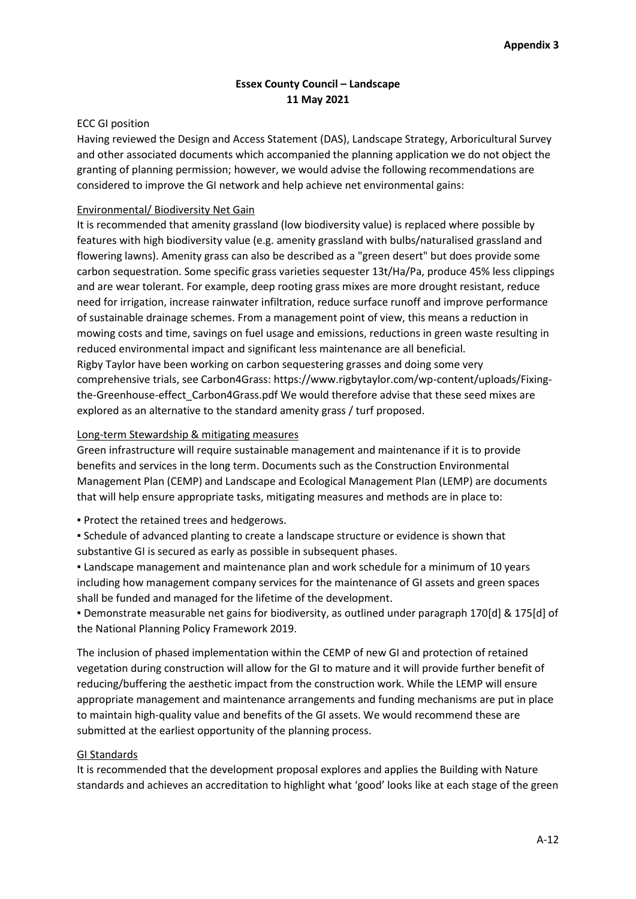# **Essex County Council – Landscape 11 May 2021**

# ECC GI position

Having reviewed the Design and Access Statement (DAS), Landscape Strategy, Arboricultural Survey and other associated documents which accompanied the planning application we do not object the granting of planning permission; however, we would advise the following recommendations are considered to improve the GI network and help achieve net environmental gains:

## Environmental/ Biodiversity Net Gain

It is recommended that amenity grassland (low biodiversity value) is replaced where possible by features with high biodiversity value (e.g. amenity grassland with bulbs/naturalised grassland and flowering lawns). Amenity grass can also be described as a "green desert" but does provide some carbon sequestration. Some specific grass varieties sequester 13t/Ha/Pa, produce 45% less clippings and are wear tolerant. For example, deep rooting grass mixes are more drought resistant, reduce need for irrigation, increase rainwater infiltration, reduce surface runoff and improve performance of sustainable drainage schemes. From a management point of view, this means a reduction in mowing costs and time, savings on fuel usage and emissions, reductions in green waste resulting in reduced environmental impact and significant less maintenance are all beneficial. Rigby Taylor have been working on carbon sequestering grasses and doing some very comprehensive trials, see Carbon4Grass: https://www.rigbytaylor.com/wp-content/uploads/Fixingthe-Greenhouse-effect\_Carbon4Grass.pdf We would therefore advise that these seed mixes are explored as an alternative to the standard amenity grass / turf proposed.

### Long-term Stewardship & mitigating measures

Green infrastructure will require sustainable management and maintenance if it is to provide benefits and services in the long term. Documents such as the Construction Environmental Management Plan (CEMP) and Landscape and Ecological Management Plan (LEMP) are documents that will help ensure appropriate tasks, mitigating measures and methods are in place to:

- Protect the retained trees and hedgerows.
- Schedule of advanced planting to create a landscape structure or evidence is shown that substantive GI is secured as early as possible in subsequent phases.

**.** Landscape management and maintenance plan and work schedule for a minimum of 10 years including how management company services for the maintenance of GI assets and green spaces shall be funded and managed for the lifetime of the development.

▪ Demonstrate measurable net gains for biodiversity, as outlined under paragraph 170[d] & 175[d] of the National Planning Policy Framework 2019.

The inclusion of phased implementation within the CEMP of new GI and protection of retained vegetation during construction will allow for the GI to mature and it will provide further benefit of reducing/buffering the aesthetic impact from the construction work. While the LEMP will ensure appropriate management and maintenance arrangements and funding mechanisms are put in place to maintain high-quality value and benefits of the GI assets. We would recommend these are submitted at the earliest opportunity of the planning process.

# GI Standards

It is recommended that the development proposal explores and applies the Building with Nature standards and achieves an accreditation to highlight what 'good' looks like at each stage of the green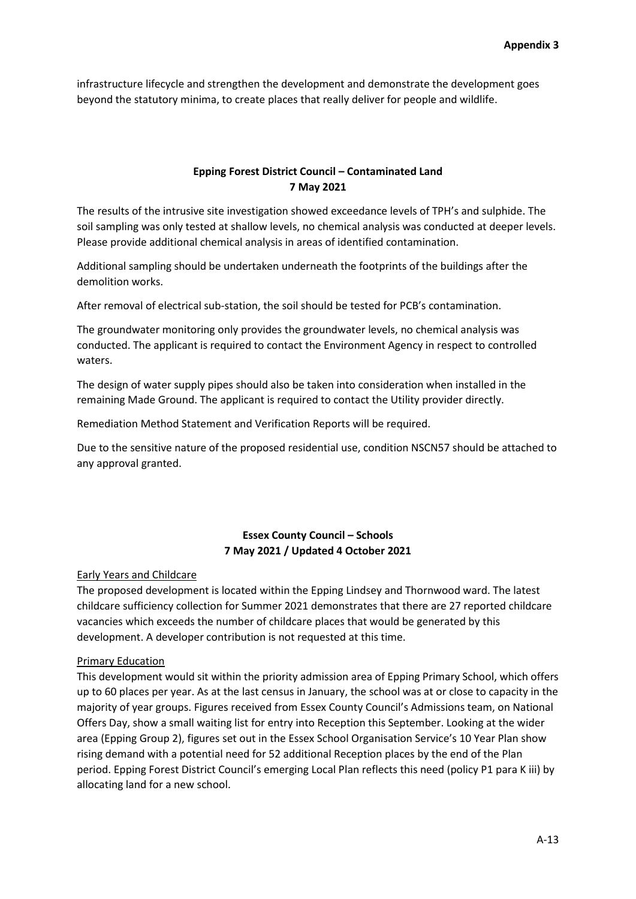infrastructure lifecycle and strengthen the development and demonstrate the development goes beyond the statutory minima, to create places that really deliver for people and wildlife.

### **Epping Forest District Council – Contaminated Land 7 May 2021**

The results of the intrusive site investigation showed exceedance levels of TPH's and sulphide. The soil sampling was only tested at shallow levels, no chemical analysis was conducted at deeper levels. Please provide additional chemical analysis in areas of identified contamination.

Additional sampling should be undertaken underneath the footprints of the buildings after the demolition works.

After removal of electrical sub-station, the soil should be tested for PCB's contamination.

The groundwater monitoring only provides the groundwater levels, no chemical analysis was conducted. The applicant is required to contact the Environment Agency in respect to controlled waters.

The design of water supply pipes should also be taken into consideration when installed in the remaining Made Ground. The applicant is required to contact the Utility provider directly.

Remediation Method Statement and Verification Reports will be required.

Due to the sensitive nature of the proposed residential use, condition NSCN57 should be attached to any approval granted.

### **Essex County Council – Schools 7 May 2021 / Updated 4 October 2021**

Early Years and Childcare

The proposed development is located within the Epping Lindsey and Thornwood ward. The latest childcare sufficiency collection for Summer 2021 demonstrates that there are 27 reported childcare vacancies which exceeds the number of childcare places that would be generated by this development. A developer contribution is not requested at this time.

#### Primary Education

This development would sit within the priority admission area of Epping Primary School, which offers up to 60 places per year. As at the last census in January, the school was at or close to capacity in the majority of year groups. Figures received from Essex County Council's Admissions team, on National Offers Day, show a small waiting list for entry into Reception this September. Looking at the wider area (Epping Group 2), figures set out in the Essex School Organisation Service's 10 Year Plan show rising demand with a potential need for 52 additional Reception places by the end of the Plan period. Epping Forest District Council's emerging Local Plan reflects this need (policy P1 para K iii) by allocating land for a new school.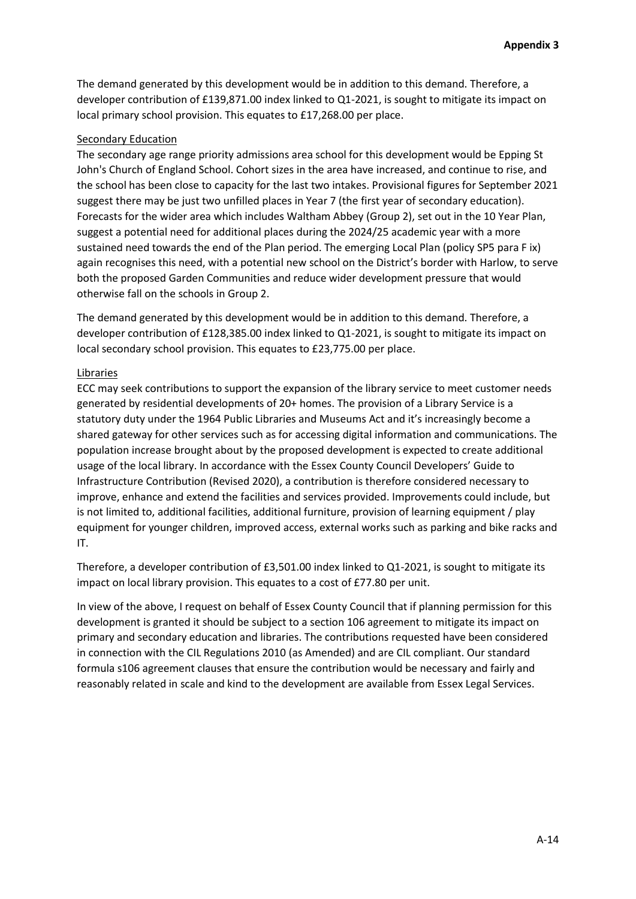The demand generated by this development would be in addition to this demand. Therefore, a developer contribution of £139,871.00 index linked to Q1-2021, is sought to mitigate its impact on local primary school provision. This equates to £17,268.00 per place.

#### Secondary Education

The secondary age range priority admissions area school for this development would be Epping St John's Church of England School. Cohort sizes in the area have increased, and continue to rise, and the school has been close to capacity for the last two intakes. Provisional figures for September 2021 suggest there may be just two unfilled places in Year 7 (the first year of secondary education). Forecasts for the wider area which includes Waltham Abbey (Group 2), set out in the 10 Year Plan, suggest a potential need for additional places during the 2024/25 academic year with a more sustained need towards the end of the Plan period. The emerging Local Plan (policy SP5 para F ix) again recognises this need, with a potential new school on the District's border with Harlow, to serve both the proposed Garden Communities and reduce wider development pressure that would otherwise fall on the schools in Group 2.

The demand generated by this development would be in addition to this demand. Therefore, a developer contribution of £128,385.00 index linked to Q1-2021, is sought to mitigate its impact on local secondary school provision. This equates to £23,775.00 per place.

#### Libraries

ECC may seek contributions to support the expansion of the library service to meet customer needs generated by residential developments of 20+ homes. The provision of a Library Service is a statutory duty under the 1964 Public Libraries and Museums Act and it's increasingly become a shared gateway for other services such as for accessing digital information and communications. The population increase brought about by the proposed development is expected to create additional usage of the local library. In accordance with the Essex County Council Developers' Guide to Infrastructure Contribution (Revised 2020), a contribution is therefore considered necessary to improve, enhance and extend the facilities and services provided. Improvements could include, but is not limited to, additional facilities, additional furniture, provision of learning equipment / play equipment for younger children, improved access, external works such as parking and bike racks and IT.

Therefore, a developer contribution of £3,501.00 index linked to Q1-2021, is sought to mitigate its impact on local library provision. This equates to a cost of £77.80 per unit.

In view of the above, I request on behalf of Essex County Council that if planning permission for this development is granted it should be subject to a section 106 agreement to mitigate its impact on primary and secondary education and libraries. The contributions requested have been considered in connection with the CIL Regulations 2010 (as Amended) and are CIL compliant. Our standard formula s106 agreement clauses that ensure the contribution would be necessary and fairly and reasonably related in scale and kind to the development are available from Essex Legal Services.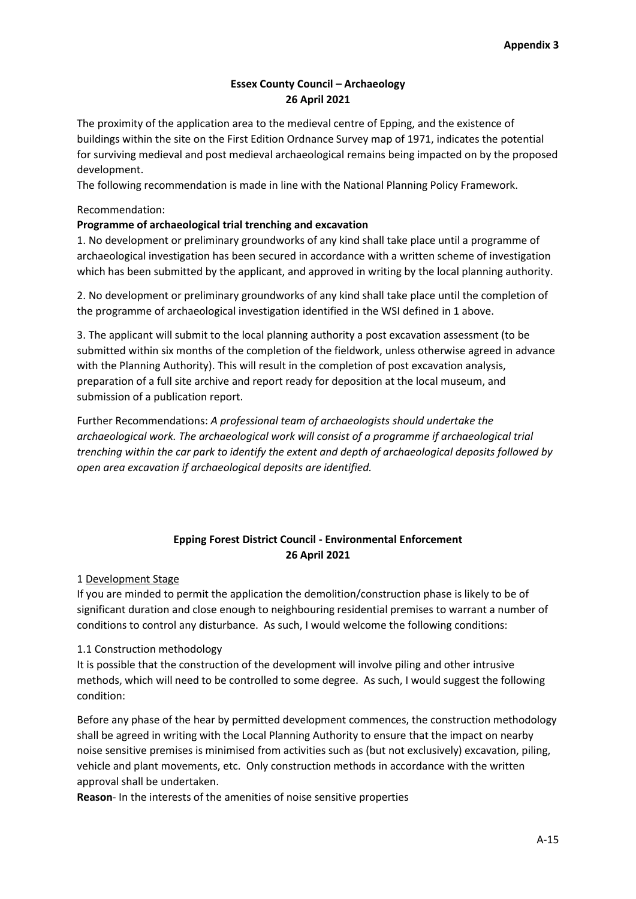# **Essex County Council – Archaeology 26 April 2021**

The proximity of the application area to the medieval centre of Epping, and the existence of buildings within the site on the First Edition Ordnance Survey map of 1971, indicates the potential for surviving medieval and post medieval archaeological remains being impacted on by the proposed development.

The following recommendation is made in line with the National Planning Policy Framework.

#### Recommendation:

### **Programme of archaeological trial trenching and excavation**

1. No development or preliminary groundworks of any kind shall take place until a programme of archaeological investigation has been secured in accordance with a written scheme of investigation which has been submitted by the applicant, and approved in writing by the local planning authority.

2. No development or preliminary groundworks of any kind shall take place until the completion of the programme of archaeological investigation identified in the WSI defined in 1 above.

3. The applicant will submit to the local planning authority a post excavation assessment (to be submitted within six months of the completion of the fieldwork, unless otherwise agreed in advance with the Planning Authority). This will result in the completion of post excavation analysis, preparation of a full site archive and report ready for deposition at the local museum, and submission of a publication report.

Further Recommendations: *A professional team of archaeologists should undertake the archaeological work. The archaeological work will consist of a programme if archaeological trial trenching within the car park to identify the extent and depth of archaeological deposits followed by open area excavation if archaeological deposits are identified.*

# **Epping Forest District Council - Environmental Enforcement 26 April 2021**

1 Development Stage

If you are minded to permit the application the demolition/construction phase is likely to be of significant duration and close enough to neighbouring residential premises to warrant a number of conditions to control any disturbance. As such, I would welcome the following conditions:

#### 1.1 Construction methodology

It is possible that the construction of the development will involve piling and other intrusive methods, which will need to be controlled to some degree. As such, I would suggest the following condition:

Before any phase of the hear by permitted development commences, the construction methodology shall be agreed in writing with the Local Planning Authority to ensure that the impact on nearby noise sensitive premises is minimised from activities such as (but not exclusively) excavation, piling, vehicle and plant movements, etc. Only construction methods in accordance with the written approval shall be undertaken.

**Reason**- In the interests of the amenities of noise sensitive properties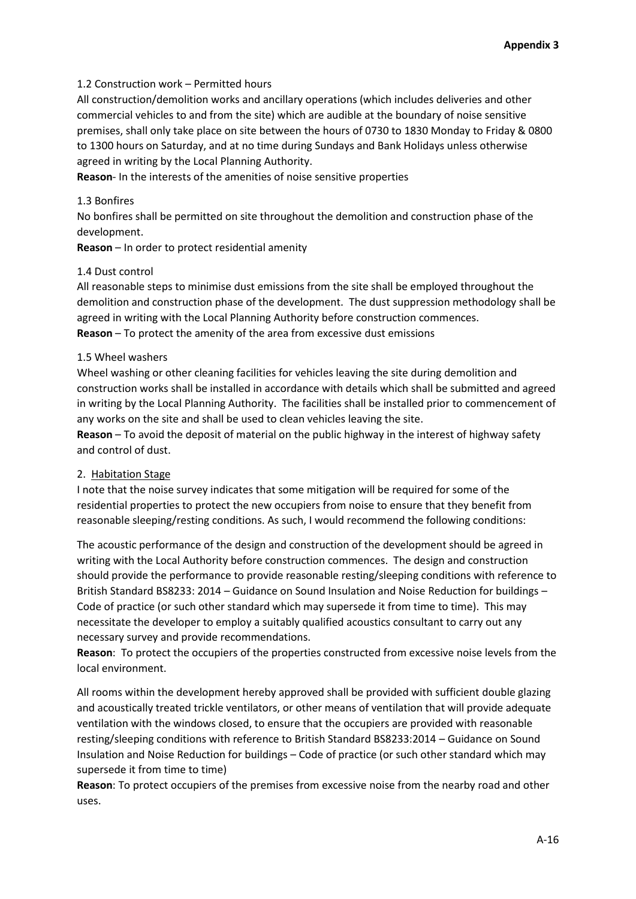#### 1.2 Construction work – Permitted hours

All construction/demolition works and ancillary operations (which includes deliveries and other commercial vehicles to and from the site) which are audible at the boundary of noise sensitive premises, shall only take place on site between the hours of 0730 to 1830 Monday to Friday & 0800 to 1300 hours on Saturday, and at no time during Sundays and Bank Holidays unless otherwise agreed in writing by the Local Planning Authority.

**Reason**- In the interests of the amenities of noise sensitive properties

#### 1.3 Bonfires

No bonfires shall be permitted on site throughout the demolition and construction phase of the development.

**Reason** – In order to protect residential amenity

### 1.4 Dust control

All reasonable steps to minimise dust emissions from the site shall be employed throughout the demolition and construction phase of the development. The dust suppression methodology shall be agreed in writing with the Local Planning Authority before construction commences. **Reason** – To protect the amenity of the area from excessive dust emissions

### 1.5 Wheel washers

Wheel washing or other cleaning facilities for vehicles leaving the site during demolition and construction works shall be installed in accordance with details which shall be submitted and agreed in writing by the Local Planning Authority. The facilities shall be installed prior to commencement of any works on the site and shall be used to clean vehicles leaving the site.

**Reason** – To avoid the deposit of material on the public highway in the interest of highway safety and control of dust.

#### 2. Habitation Stage

I note that the noise survey indicates that some mitigation will be required for some of the residential properties to protect the new occupiers from noise to ensure that they benefit from reasonable sleeping/resting conditions. As such, I would recommend the following conditions:

The acoustic performance of the design and construction of the development should be agreed in writing with the Local Authority before construction commences. The design and construction should provide the performance to provide reasonable resting/sleeping conditions with reference to British Standard BS8233: 2014 – Guidance on Sound Insulation and Noise Reduction for buildings – Code of practice (or such other standard which may supersede it from time to time). This may necessitate the developer to employ a suitably qualified acoustics consultant to carry out any necessary survey and provide recommendations.

**Reason**: To protect the occupiers of the properties constructed from excessive noise levels from the local environment.

All rooms within the development hereby approved shall be provided with sufficient double glazing and acoustically treated trickle ventilators, or other means of ventilation that will provide adequate ventilation with the windows closed, to ensure that the occupiers are provided with reasonable resting/sleeping conditions with reference to British Standard BS8233:2014 – Guidance on Sound Insulation and Noise Reduction for buildings – Code of practice (or such other standard which may supersede it from time to time)

**Reason**: To protect occupiers of the premises from excessive noise from the nearby road and other uses.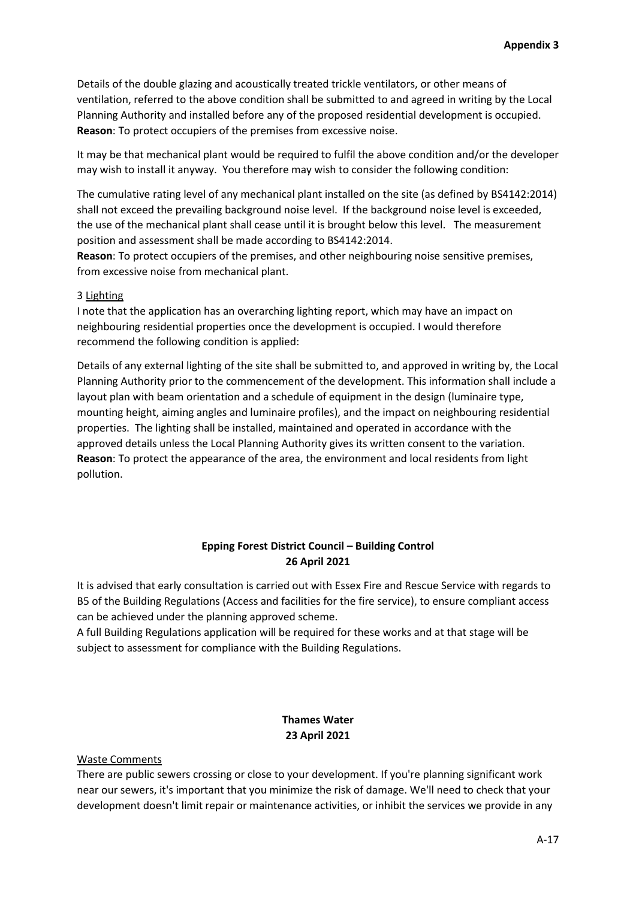Details of the double glazing and acoustically treated trickle ventilators, or other means of ventilation, referred to the above condition shall be submitted to and agreed in writing by the Local Planning Authority and installed before any of the proposed residential development is occupied. **Reason**: To protect occupiers of the premises from excessive noise.

It may be that mechanical plant would be required to fulfil the above condition and/or the developer may wish to install it anyway. You therefore may wish to consider the following condition:

The cumulative rating level of any mechanical plant installed on the site (as defined by BS4142:2014) shall not exceed the prevailing background noise level. If the background noise level is exceeded, the use of the mechanical plant shall cease until it is brought below this level. The measurement position and assessment shall be made according to BS4142:2014.

**Reason**: To protect occupiers of the premises, and other neighbouring noise sensitive premises, from excessive noise from mechanical plant.

### 3 Lighting

I note that the application has an overarching lighting report, which may have an impact on neighbouring residential properties once the development is occupied. I would therefore recommend the following condition is applied:

Details of any external lighting of the site shall be submitted to, and approved in writing by, the Local Planning Authority prior to the commencement of the development. This information shall include a layout plan with beam orientation and a schedule of equipment in the design (luminaire type, mounting height, aiming angles and luminaire profiles), and the impact on neighbouring residential properties. The lighting shall be installed, maintained and operated in accordance with the approved details unless the Local Planning Authority gives its written consent to the variation. **Reason**: To protect the appearance of the area, the environment and local residents from light pollution.

# **Epping Forest District Council – Building Control 26 April 2021**

It is advised that early consultation is carried out with Essex Fire and Rescue Service with regards to B5 of the Building Regulations (Access and facilities for the fire service), to ensure compliant access can be achieved under the planning approved scheme.

A full Building Regulations application will be required for these works and at that stage will be subject to assessment for compliance with the Building Regulations.

# **Thames Water 23 April 2021**

#### Waste Comments

There are public sewers crossing or close to your development. If you're planning significant work near our sewers, it's important that you minimize the risk of damage. We'll need to check that your development doesn't limit repair or maintenance activities, or inhibit the services we provide in any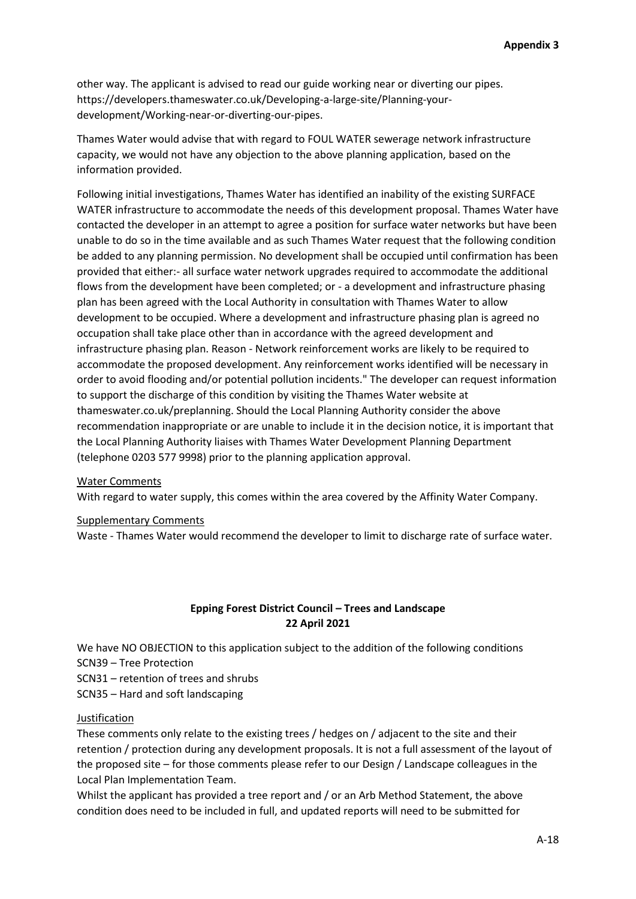other way. The applicant is advised to read our guide working near or diverting our pipes. https://developers.thameswater.co.uk/Developing-a-large-site/Planning-yourdevelopment/Working-near-or-diverting-our-pipes.

Thames Water would advise that with regard to FOUL WATER sewerage network infrastructure capacity, we would not have any objection to the above planning application, based on the information provided.

Following initial investigations, Thames Water has identified an inability of the existing SURFACE WATER infrastructure to accommodate the needs of this development proposal. Thames Water have contacted the developer in an attempt to agree a position for surface water networks but have been unable to do so in the time available and as such Thames Water request that the following condition be added to any planning permission. No development shall be occupied until confirmation has been provided that either:- all surface water network upgrades required to accommodate the additional flows from the development have been completed; or - a development and infrastructure phasing plan has been agreed with the Local Authority in consultation with Thames Water to allow development to be occupied. Where a development and infrastructure phasing plan is agreed no occupation shall take place other than in accordance with the agreed development and infrastructure phasing plan. Reason - Network reinforcement works are likely to be required to accommodate the proposed development. Any reinforcement works identified will be necessary in order to avoid flooding and/or potential pollution incidents." The developer can request information to support the discharge of this condition by visiting the Thames Water website at thameswater.co.uk/preplanning. Should the Local Planning Authority consider the above recommendation inappropriate or are unable to include it in the decision notice, it is important that the Local Planning Authority liaises with Thames Water Development Planning Department (telephone 0203 577 9998) prior to the planning application approval.

#### Water Comments

With regard to water supply, this comes within the area covered by the Affinity Water Company.

#### Supplementary Comments

Waste - Thames Water would recommend the developer to limit to discharge rate of surface water.

### **Epping Forest District Council – Trees and Landscape 22 April 2021**

We have NO OBJECTION to this application subject to the addition of the following conditions SCN39 – Tree Protection SCN31 – retention of trees and shrubs

SCN35 – Hard and soft landscaping

#### Justification

These comments only relate to the existing trees / hedges on / adjacent to the site and their retention / protection during any development proposals. It is not a full assessment of the layout of the proposed site – for those comments please refer to our Design / Landscape colleagues in the Local Plan Implementation Team.

Whilst the applicant has provided a tree report and / or an Arb Method Statement, the above condition does need to be included in full, and updated reports will need to be submitted for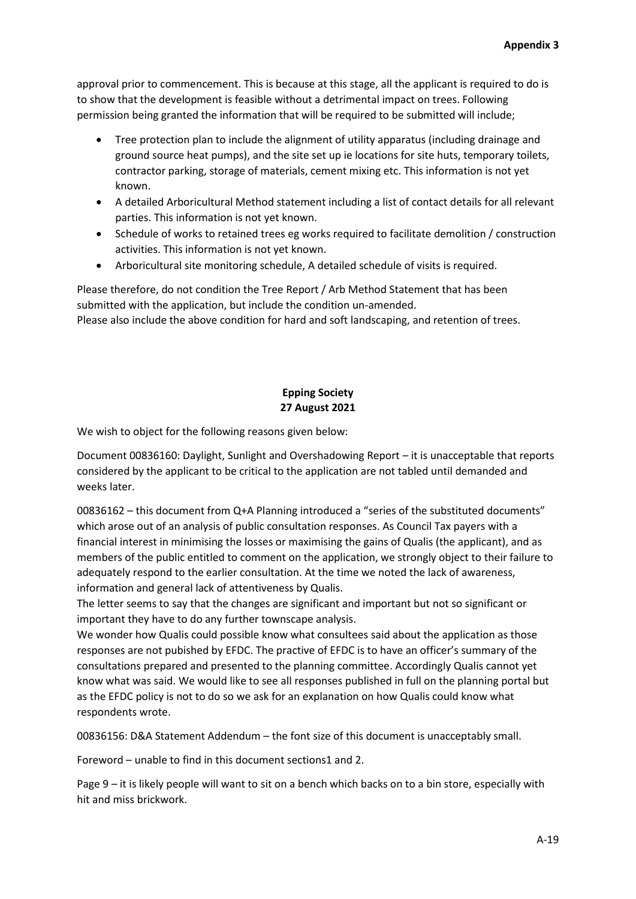approval prior to commencement. This is because at this stage, all the applicant is required to do is to show that the development is feasible without a detrimental impact on trees. Following permission being granted the information that will be required to be submitted will include;

- Tree protection plan to include the alignment of utility apparatus (including drainage and ground source heat pumps), and the site set up ie locations for site huts, temporary toilets, contractor parking, storage of materials, cement mixing etc. This information is not yet known.
- A detailed Arboricultural Method statement including a list of contact details for all relevant parties. This information is not yet known.
- Schedule of works to retained trees eg works required to facilitate demolition / construction activities. This information is not yet known.
- Arboricultural site monitoring schedule, A detailed schedule of visits is required.

Please therefore, do not condition the Tree Report / Arb Method Statement that has been submitted with the application, but include the condition un-amended. Please also include the above condition for hard and soft landscaping, and retention of trees.

# **Epping Society 27 August 2021**

We wish to object for the following reasons given below:

Document 00836160: Daylight, Sunlight and Overshadowing Report – it is unacceptable that reports considered by the applicant to be critical to the application are not tabled until demanded and weeks later.

00836162 – this document from Q+A Planning introduced a "series of the substituted documents" which arose out of an analysis of public consultation responses. As Council Tax payers with a financial interest in minimising the losses or maximising the gains of Qualis (the applicant), and as members of the public entitled to comment on the application, we strongly object to their failure to adequately respond to the earlier consultation. At the time we noted the lack of awareness, information and general lack of attentiveness by Qualis.

The letter seems to say that the changes are significant and important but not so significant or important they have to do any further townscape analysis.

We wonder how Qualis could possible know what consultees said about the application as those responses are not pubished by EFDC. The practive of EFDC is to have an officer's summary of the consultations prepared and presented to the planning committee. Accordingly Qualis cannot yet know what was said. We would like to see all responses published in full on the planning portal but as the EFDC policy is not to do so we ask for an explanation on how Qualis could know what respondents wrote.

00836156: D&A Statement Addendum – the font size of this document is unacceptably small.

Foreword – unable to find in this document sections1 and 2.

Page 9 – it is likely people will want to sit on a bench which backs on to a bin store, especially with hit and miss brickwork.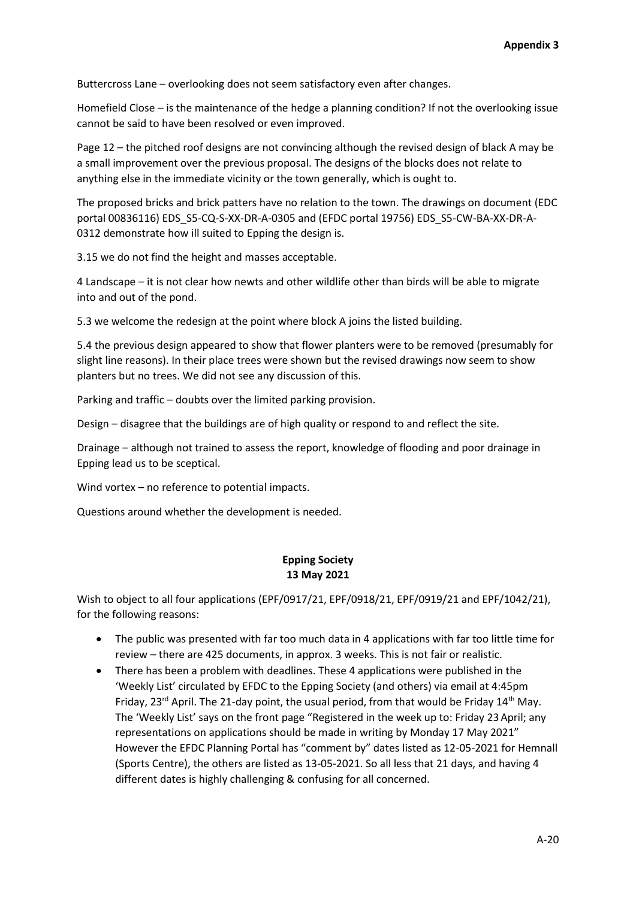Buttercross Lane – overlooking does not seem satisfactory even after changes.

Homefield Close – is the maintenance of the hedge a planning condition? If not the overlooking issue cannot be said to have been resolved or even improved.

Page 12 – the pitched roof designs are not convincing although the revised design of black A may be a small improvement over the previous proposal. The designs of the blocks does not relate to anything else in the immediate vicinity or the town generally, which is ought to.

The proposed bricks and brick patters have no relation to the town. The drawings on document (EDC portal 00836116) EDS\_S5-CQ-S-XX-DR-A-0305 and (EFDC portal 19756) EDS\_S5-CW-BA-XX-DR-A-0312 demonstrate how ill suited to Epping the design is.

3.15 we do not find the height and masses acceptable.

4 Landscape – it is not clear how newts and other wildlife other than birds will be able to migrate into and out of the pond.

5.3 we welcome the redesign at the point where block A joins the listed building.

5.4 the previous design appeared to show that flower planters were to be removed (presumably for slight line reasons). In their place trees were shown but the revised drawings now seem to show planters but no trees. We did not see any discussion of this.

Parking and traffic – doubts over the limited parking provision.

Design – disagree that the buildings are of high quality or respond to and reflect the site.

Drainage – although not trained to assess the report, knowledge of flooding and poor drainage in Epping lead us to be sceptical.

Wind vortex – no reference to potential impacts.

Questions around whether the development is needed.

### **Epping Society 13 May 2021**

Wish to object to all four applications (EPF/0917/21, EPF/0918/21, EPF/0919/21 and EPF/1042/21), for the following reasons:

- The public was presented with far too much data in 4 applications with far too little time for review – there are 425 documents, in approx. 3 weeks. This is not fair or realistic.
- There has been a problem with deadlines. These 4 applications were published in the 'Weekly List' circulated by EFDC to the Epping Society (and others) via email at 4:45pm Friday,  $23^{rd}$  April. The 21-day point, the usual period, from that would be Friday  $14^{th}$  May. The 'Weekly List' says on the front page "Registered in the week up to: Friday 23 April; any representations on applications should be made in writing by Monday 17 May 2021" However the EFDC Planning Portal has "comment by" dates listed as 12-05-2021 for Hemnall (Sports Centre), the others are listed as 13-05-2021. So all less that 21 days, and having 4 different dates is highly challenging & confusing for all concerned.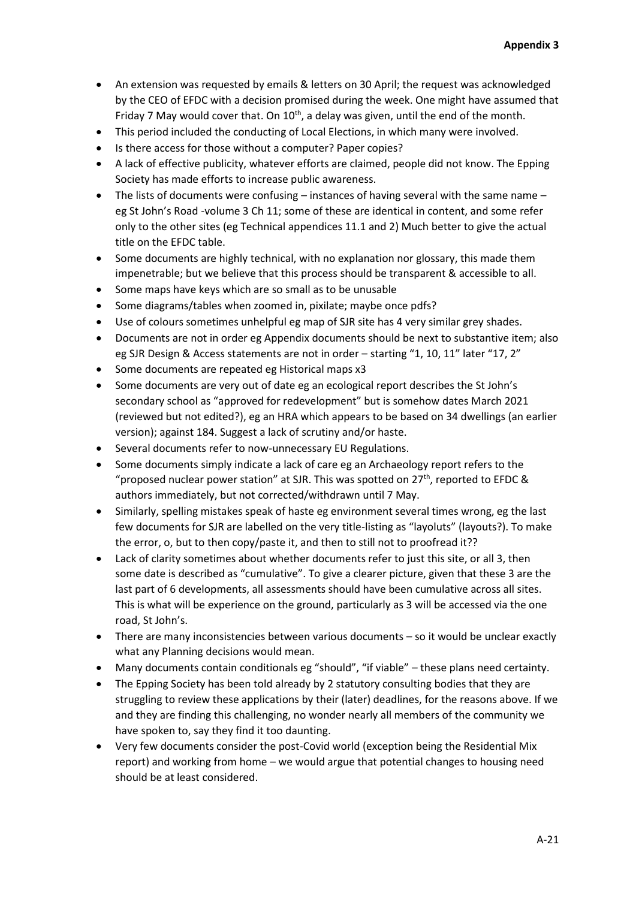- An extension was requested by emails & letters on 30 April; the request was acknowledged by the CEO of EFDC with a decision promised during the week. One might have assumed that Friday 7 May would cover that. On  $10<sup>th</sup>$ , a delay was given, until the end of the month.
- This period included the conducting of Local Elections, in which many were involved.
- Is there access for those without a computer? Paper copies?
- A lack of effective publicity, whatever efforts are claimed, people did not know. The Epping Society has made efforts to increase public awareness.
- $\bullet$  The lists of documents were confusing instances of having several with the same name eg St John's Road -volume 3 Ch 11; some of these are identical in content, and some refer only to the other sites (eg Technical appendices 11.1 and 2) Much better to give the actual title on the EFDC table.
- Some documents are highly technical, with no explanation nor glossary, this made them impenetrable; but we believe that this process should be transparent & accessible to all.
- Some maps have keys which are so small as to be unusable
- Some diagrams/tables when zoomed in, pixilate; maybe once pdfs?
- Use of colours sometimes unhelpful eg map of SJR site has 4 very similar grey shades.
- Documents are not in order eg Appendix documents should be next to substantive item; also eg SJR Design & Access statements are not in order – starting "1, 10, 11" later "17, 2"
- Some documents are repeated eg Historical maps x3
- Some documents are very out of date eg an ecological report describes the St John's secondary school as "approved for redevelopment" but is somehow dates March 2021 (reviewed but not edited?), eg an HRA which appears to be based on 34 dwellings (an earlier version); against 184. Suggest a lack of scrutiny and/or haste.
- Several documents refer to now-unnecessary EU Regulations.
- Some documents simply indicate a lack of care eg an Archaeology report refers to the "proposed nuclear power station" at SJR. This was spotted on  $27<sup>th</sup>$ , reported to EFDC & authors immediately, but not corrected/withdrawn until 7 May.
- Similarly, spelling mistakes speak of haste eg environment several times wrong, eg the last few documents for SJR are labelled on the very title-listing as "layoluts" (layouts?). To make the error, o, but to then copy/paste it, and then to still not to proofread it??
- Lack of clarity sometimes about whether documents refer to just this site, or all 3, then some date is described as "cumulative". To give a clearer picture, given that these 3 are the last part of 6 developments, all assessments should have been cumulative across all sites. This is what will be experience on the ground, particularly as 3 will be accessed via the one road, St John's.
- There are many inconsistencies between various documents so it would be unclear exactly what any Planning decisions would mean.
- Many documents contain conditionals eg "should", "if viable" these plans need certainty.
- The Epping Society has been told already by 2 statutory consulting bodies that they are struggling to review these applications by their (later) deadlines, for the reasons above. If we and they are finding this challenging, no wonder nearly all members of the community we have spoken to, say they find it too daunting.
- Very few documents consider the post-Covid world (exception being the Residential Mix report) and working from home – we would argue that potential changes to housing need should be at least considered.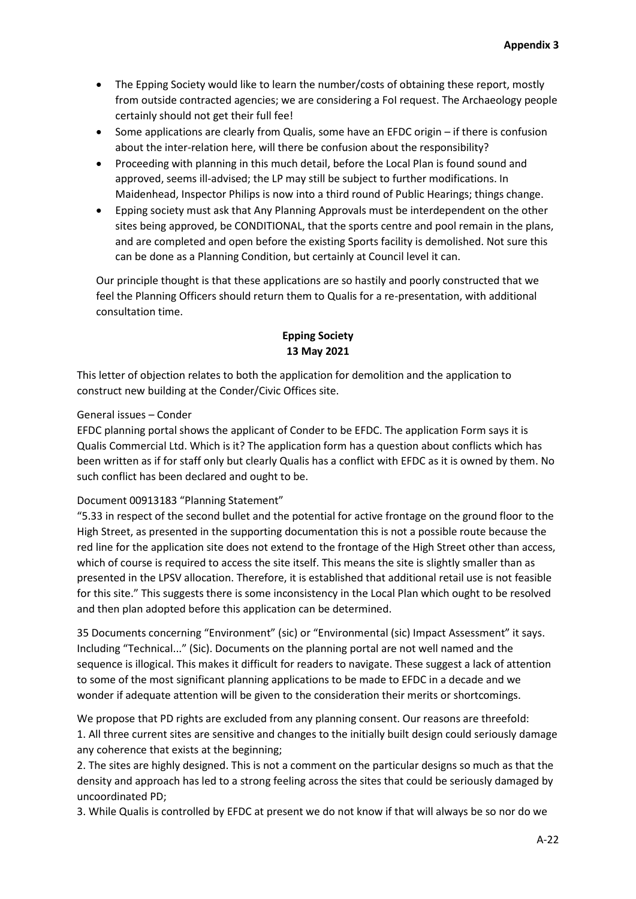- The Epping Society would like to learn the number/costs of obtaining these report, mostly from outside contracted agencies; we are considering a FoI request. The Archaeology people certainly should not get their full fee!
- Some applications are clearly from Qualis, some have an EFDC origin if there is confusion about the inter-relation here, will there be confusion about the responsibility?
- Proceeding with planning in this much detail, before the Local Plan is found sound and approved, seems ill-advised; the LP may still be subject to further modifications. In Maidenhead, Inspector Philips is now into a third round of Public Hearings; things change.
- Epping society must ask that Any Planning Approvals must be interdependent on the other sites being approved, be CONDITIONAL, that the sports centre and pool remain in the plans, and are completed and open before the existing Sports facility is demolished. Not sure this can be done as a Planning Condition, but certainly at Council level it can.

Our principle thought is that these applications are so hastily and poorly constructed that we feel the Planning Officers should return them to Qualis for a re-presentation, with additional consultation time.

# **Epping Society 13 May 2021**

This letter of objection relates to both the application for demolition and the application to construct new building at the Conder/Civic Offices site.

# General issues – Conder

EFDC planning portal shows the applicant of Conder to be EFDC. The application Form says it is Qualis Commercial Ltd. Which is it? The application form has a question about conflicts which has been written as if for staff only but clearly Qualis has a conflict with EFDC as it is owned by them. No such conflict has been declared and ought to be.

# Document 00913183 "Planning Statement"

"5.33 in respect of the second bullet and the potential for active frontage on the ground floor to the High Street, as presented in the supporting documentation this is not a possible route because the red line for the application site does not extend to the frontage of the High Street other than access, which of course is required to access the site itself. This means the site is slightly smaller than as presented in the LPSV allocation. Therefore, it is established that additional retail use is not feasible for this site." This suggests there is some inconsistency in the Local Plan which ought to be resolved and then plan adopted before this application can be determined.

35 Documents concerning "Environment" (sic) or "Environmental (sic) Impact Assessment" it says. Including "Technical..." (Sic). Documents on the planning portal are not well named and the sequence is illogical. This makes it difficult for readers to navigate. These suggest a lack of attention to some of the most significant planning applications to be made to EFDC in a decade and we wonder if adequate attention will be given to the consideration their merits or shortcomings.

We propose that PD rights are excluded from any planning consent. Our reasons are threefold: 1. All three current sites are sensitive and changes to the initially built design could seriously damage any coherence that exists at the beginning;

2. The sites are highly designed. This is not a comment on the particular designs so much as that the density and approach has led to a strong feeling across the sites that could be seriously damaged by uncoordinated PD;

3. While Qualis is controlled by EFDC at present we do not know if that will always be so nor do we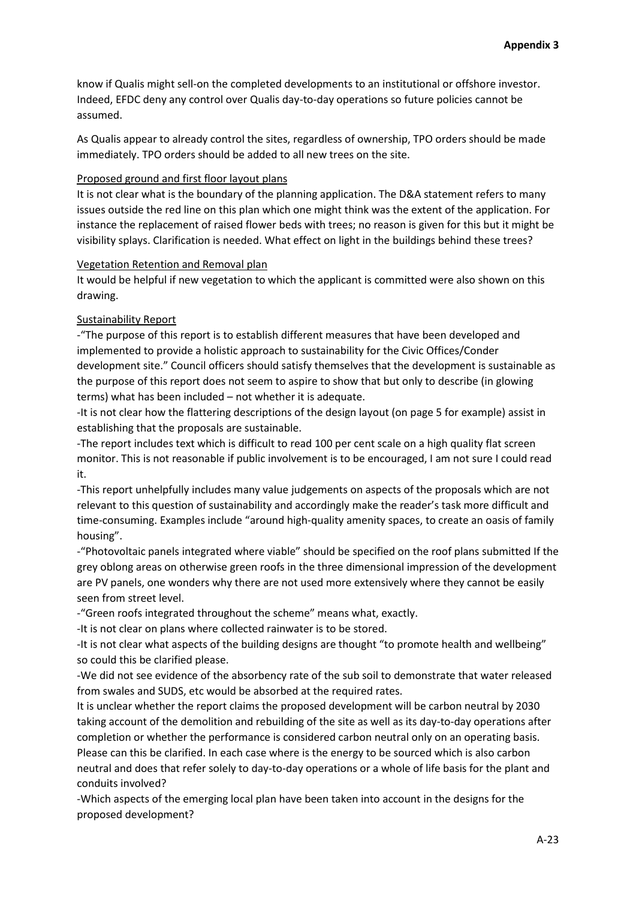know if Qualis might sell-on the completed developments to an institutional or offshore investor. Indeed, EFDC deny any control over Qualis day-to-day operations so future policies cannot be assumed.

As Qualis appear to already control the sites, regardless of ownership, TPO orders should be made immediately. TPO orders should be added to all new trees on the site.

### Proposed ground and first floor layout plans

It is not clear what is the boundary of the planning application. The D&A statement refers to many issues outside the red line on this plan which one might think was the extent of the application. For instance the replacement of raised flower beds with trees; no reason is given for this but it might be visibility splays. Clarification is needed. What effect on light in the buildings behind these trees?

#### Vegetation Retention and Removal plan

It would be helpful if new vegetation to which the applicant is committed were also shown on this drawing.

# Sustainability Report

-"The purpose of this report is to establish different measures that have been developed and implemented to provide a holistic approach to sustainability for the Civic Offices/Conder development site." Council officers should satisfy themselves that the development is sustainable as the purpose of this report does not seem to aspire to show that but only to describe (in glowing terms) what has been included – not whether it is adequate.

-It is not clear how the flattering descriptions of the design layout (on page 5 for example) assist in establishing that the proposals are sustainable.

-The report includes text which is difficult to read 100 per cent scale on a high quality flat screen monitor. This is not reasonable if public involvement is to be encouraged, I am not sure I could read it.

-This report unhelpfully includes many value judgements on aspects of the proposals which are not relevant to this question of sustainability and accordingly make the reader's task more difficult and time-consuming. Examples include "around high-quality amenity spaces, to create an oasis of family housing".

-"Photovoltaic panels integrated where viable" should be specified on the roof plans submitted If the grey oblong areas on otherwise green roofs in the three dimensional impression of the development are PV panels, one wonders why there are not used more extensively where they cannot be easily seen from street level.

-"Green roofs integrated throughout the scheme" means what, exactly.

-It is not clear on plans where collected rainwater is to be stored.

-It is not clear what aspects of the building designs are thought "to promote health and wellbeing" so could this be clarified please.

-We did not see evidence of the absorbency rate of the sub soil to demonstrate that water released from swales and SUDS, etc would be absorbed at the required rates.

It is unclear whether the report claims the proposed development will be carbon neutral by 2030 taking account of the demolition and rebuilding of the site as well as its day-to-day operations after completion or whether the performance is considered carbon neutral only on an operating basis. Please can this be clarified. In each case where is the energy to be sourced which is also carbon neutral and does that refer solely to day-to-day operations or a whole of life basis for the plant and conduits involved?

-Which aspects of the emerging local plan have been taken into account in the designs for the proposed development?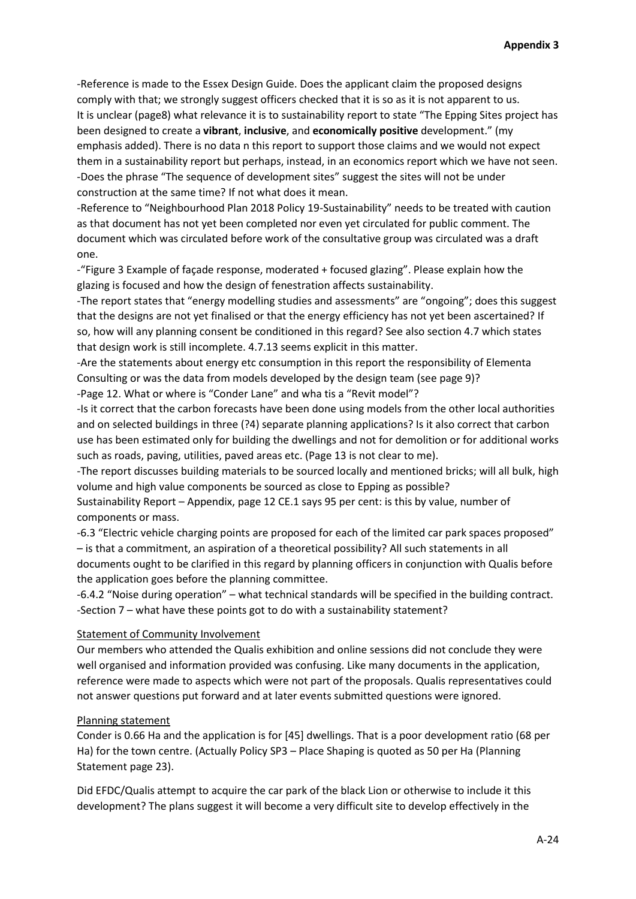-Reference is made to the Essex Design Guide. Does the applicant claim the proposed designs comply with that; we strongly suggest officers checked that it is so as it is not apparent to us. It is unclear (page8) what relevance it is to sustainability report to state "The Epping Sites project has been designed to create a **vibrant**, **inclusive**, and **economically positive** development." (my emphasis added). There is no data n this report to support those claims and we would not expect them in a sustainability report but perhaps, instead, in an economics report which we have not seen. -Does the phrase "The sequence of development sites" suggest the sites will not be under construction at the same time? If not what does it mean.

-Reference to "Neighbourhood Plan 2018 Policy 19-Sustainability" needs to be treated with caution as that document has not yet been completed nor even yet circulated for public comment. The document which was circulated before work of the consultative group was circulated was a draft one.

-"Figure 3 Example of façade response, moderated + focused glazing". Please explain how the glazing is focused and how the design of fenestration affects sustainability.

-The report states that "energy modelling studies and assessments" are "ongoing"; does this suggest that the designs are not yet finalised or that the energy efficiency has not yet been ascertained? If so, how will any planning consent be conditioned in this regard? See also section 4.7 which states that design work is still incomplete. 4.7.13 seems explicit in this matter.

-Are the statements about energy etc consumption in this report the responsibility of Elementa Consulting or was the data from models developed by the design team (see page 9)?

-Page 12. What or where is "Conder Lane" and wha tis a "Revit model"?

-Is it correct that the carbon forecasts have been done using models from the other local authorities and on selected buildings in three (?4) separate planning applications? Is it also correct that carbon use has been estimated only for building the dwellings and not for demolition or for additional works such as roads, paving, utilities, paved areas etc. (Page 13 is not clear to me).

-The report discusses building materials to be sourced locally and mentioned bricks; will all bulk, high volume and high value components be sourced as close to Epping as possible?

Sustainability Report – Appendix, page 12 CE.1 says 95 per cent: is this by value, number of components or mass.

-6.3 "Electric vehicle charging points are proposed for each of the limited car park spaces proposed" – is that a commitment, an aspiration of a theoretical possibility? All such statements in all documents ought to be clarified in this regard by planning officers in conjunction with Qualis before the application goes before the planning committee.

-6.4.2 "Noise during operation" – what technical standards will be specified in the building contract. -Section 7 – what have these points got to do with a sustainability statement?

#### Statement of Community Involvement

Our members who attended the Qualis exhibition and online sessions did not conclude they were well organised and information provided was confusing. Like many documents in the application, reference were made to aspects which were not part of the proposals. Qualis representatives could not answer questions put forward and at later events submitted questions were ignored.

#### Planning statement

Conder is 0.66 Ha and the application is for [45] dwellings. That is a poor development ratio (68 per Ha) for the town centre. (Actually Policy SP3 – Place Shaping is quoted as 50 per Ha (Planning Statement page 23).

Did EFDC/Qualis attempt to acquire the car park of the black Lion or otherwise to include it this development? The plans suggest it will become a very difficult site to develop effectively in the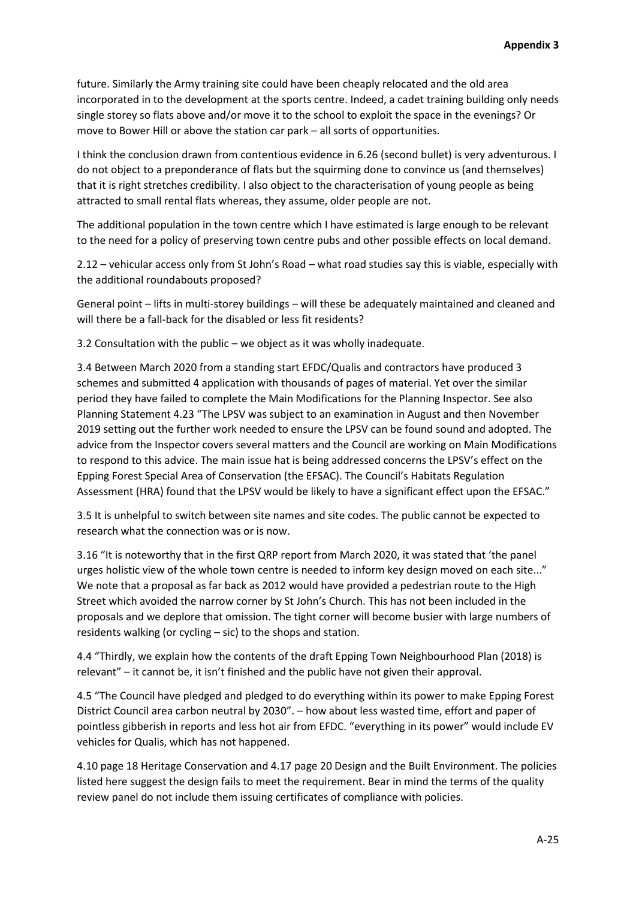future. Similarly the Army training site could have been cheaply relocated and the old area incorporated in to the development at the sports centre. Indeed, a cadet training building only needs single storey so flats above and/or move it to the school to exploit the space in the evenings? Or move to Bower Hill or above the station car park – all sorts of opportunities.

I think the conclusion drawn from contentious evidence in 6.26 (second bullet) is very adventurous. I do not object to a preponderance of flats but the squirming done to convince us (and themselves) that it is right stretches credibility. I also object to the characterisation of young people as being attracted to small rental flats whereas, they assume, older people are not.

The additional population in the town centre which I have estimated is large enough to be relevant to the need for a policy of preserving town centre pubs and other possible effects on local demand.

2.12 – vehicular access only from St John's Road – what road studies say this is viable, especially with the additional roundabouts proposed?

General point – lifts in multi-storey buildings – will these be adequately maintained and cleaned and will there be a fall-back for the disabled or less fit residents?

3.2 Consultation with the public – we object as it was wholly inadequate.

3.4 Between March 2020 from a standing start EFDC/Qualis and contractors have produced 3 schemes and submitted 4 application with thousands of pages of material. Yet over the similar period they have failed to complete the Main Modifications for the Planning Inspector. See also Planning Statement 4.23 "The LPSV was subject to an examination in August and then November 2019 setting out the further work needed to ensure the LPSV can be found sound and adopted. The advice from the Inspector covers several matters and the Council are working on Main Modifications to respond to this advice. The main issue hat is being addressed concerns the LPSV's effect on the Epping Forest Special Area of Conservation (the EFSAC). The Council's Habitats Regulation Assessment (HRA) found that the LPSV would be likely to have a significant effect upon the EFSAC."

3.5 It is unhelpful to switch between site names and site codes. The public cannot be expected to research what the connection was or is now.

3.16 "It is noteworthy that in the first QRP report from March 2020, it was stated that 'the panel urges holistic view of the whole town centre is needed to inform key design moved on each site..." We note that a proposal as far back as 2012 would have provided a pedestrian route to the High Street which avoided the narrow corner by St John's Church. This has not been included in the proposals and we deplore that omission. The tight corner will become busier with large numbers of residents walking (or cycling – sic) to the shops and station.

4.4 "Thirdly, we explain how the contents of the draft Epping Town Neighbourhood Plan (2018) is relevant" – it cannot be, it isn't finished and the public have not given their approval.

4.5 "The Council have pledged and pledged to do everything within its power to make Epping Forest District Council area carbon neutral by 2030". – how about less wasted time, effort and paper of pointless gibberish in reports and less hot air from EFDC. "everything in its power" would include EV vehicles for Qualis, which has not happened.

4.10 page 18 Heritage Conservation and 4.17 page 20 Design and the Built Environment. The policies listed here suggest the design fails to meet the requirement. Bear in mind the terms of the quality review panel do not include them issuing certificates of compliance with policies.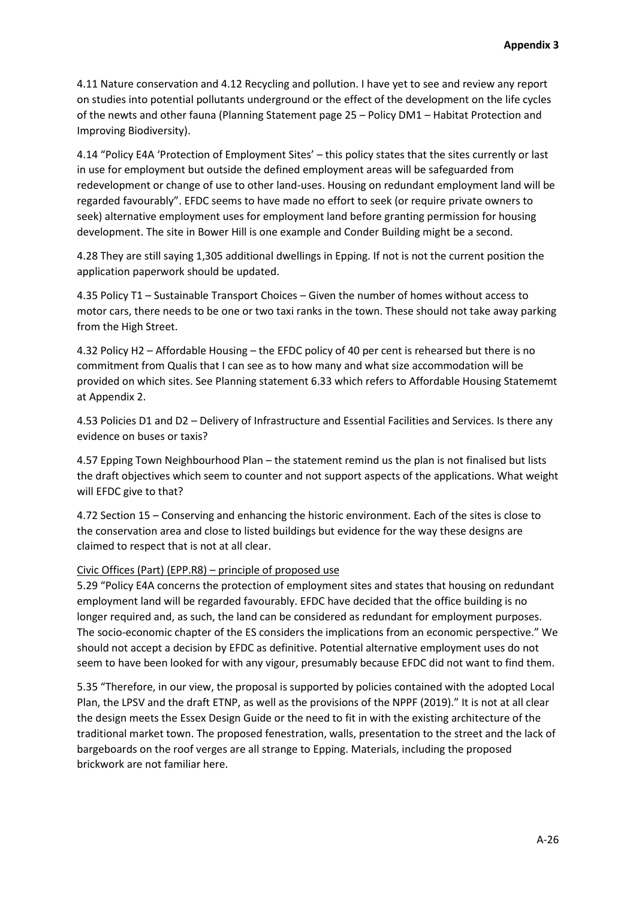4.11 Nature conservation and 4.12 Recycling and pollution. I have yet to see and review any report on studies into potential pollutants underground or the effect of the development on the life cycles of the newts and other fauna (Planning Statement page 25 – Policy DM1 – Habitat Protection and Improving Biodiversity).

4.14 "Policy E4A 'Protection of Employment Sites' – this policy states that the sites currently or last in use for employment but outside the defined employment areas will be safeguarded from redevelopment or change of use to other land-uses. Housing on redundant employment land will be regarded favourably". EFDC seems to have made no effort to seek (or require private owners to seek) alternative employment uses for employment land before granting permission for housing development. The site in Bower Hill is one example and Conder Building might be a second.

4.28 They are still saying 1,305 additional dwellings in Epping. If not is not the current position the application paperwork should be updated.

4.35 Policy T1 – Sustainable Transport Choices – Given the number of homes without access to motor cars, there needs to be one or two taxi ranks in the town. These should not take away parking from the High Street.

4.32 Policy H2 – Affordable Housing – the EFDC policy of 40 per cent is rehearsed but there is no commitment from Qualis that I can see as to how many and what size accommodation will be provided on which sites. See Planning statement 6.33 which refers to Affordable Housing Statememt at Appendix 2.

4.53 Policies D1 and D2 – Delivery of Infrastructure and Essential Facilities and Services. Is there any evidence on buses or taxis?

4.57 Epping Town Neighbourhood Plan – the statement remind us the plan is not finalised but lists the draft objectives which seem to counter and not support aspects of the applications. What weight will EFDC give to that?

4.72 Section 15 – Conserving and enhancing the historic environment. Each of the sites is close to the conservation area and close to listed buildings but evidence for the way these designs are claimed to respect that is not at all clear.

#### Civic Offices (Part) (EPP.R8) – principle of proposed use

5.29 "Policy E4A concerns the protection of employment sites and states that housing on redundant employment land will be regarded favourably. EFDC have decided that the office building is no longer required and, as such, the land can be considered as redundant for employment purposes. The socio-economic chapter of the ES considers the implications from an economic perspective." We should not accept a decision by EFDC as definitive. Potential alternative employment uses do not seem to have been looked for with any vigour, presumably because EFDC did not want to find them.

5.35 "Therefore, in our view, the proposal is supported by policies contained with the adopted Local Plan, the LPSV and the draft ETNP, as well as the provisions of the NPPF (2019)." It is not at all clear the design meets the Essex Design Guide or the need to fit in with the existing architecture of the traditional market town. The proposed fenestration, walls, presentation to the street and the lack of bargeboards on the roof verges are all strange to Epping. Materials, including the proposed brickwork are not familiar here.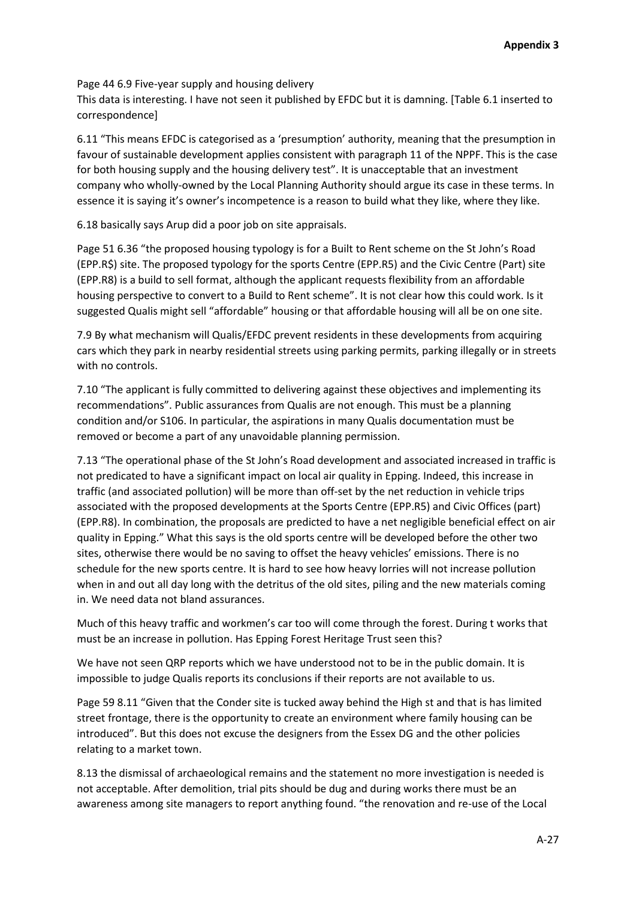Page 44 6.9 Five-year supply and housing delivery

This data is interesting. I have not seen it published by EFDC but it is damning. [Table 6.1 inserted to correspondence]

6.11 "This means EFDC is categorised as a 'presumption' authority, meaning that the presumption in favour of sustainable development applies consistent with paragraph 11 of the NPPF. This is the case for both housing supply and the housing delivery test". It is unacceptable that an investment company who wholly-owned by the Local Planning Authority should argue its case in these terms. In essence it is saying it's owner's incompetence is a reason to build what they like, where they like.

6.18 basically says Arup did a poor job on site appraisals.

Page 51 6.36 "the proposed housing typology is for a Built to Rent scheme on the St John's Road (EPP.R\$) site. The proposed typology for the sports Centre (EPP.R5) and the Civic Centre (Part) site (EPP.R8) is a build to sell format, although the applicant requests flexibility from an affordable housing perspective to convert to a Build to Rent scheme". It is not clear how this could work. Is it suggested Qualis might sell "affordable" housing or that affordable housing will all be on one site.

7.9 By what mechanism will Qualis/EFDC prevent residents in these developments from acquiring cars which they park in nearby residential streets using parking permits, parking illegally or in streets with no controls.

7.10 "The applicant is fully committed to delivering against these objectives and implementing its recommendations". Public assurances from Qualis are not enough. This must be a planning condition and/or S106. In particular, the aspirations in many Qualis documentation must be removed or become a part of any unavoidable planning permission.

7.13 "The operational phase of the St John's Road development and associated increased in traffic is not predicated to have a significant impact on local air quality in Epping. Indeed, this increase in traffic (and associated pollution) will be more than off-set by the net reduction in vehicle trips associated with the proposed developments at the Sports Centre (EPP.R5) and Civic Offices (part) (EPP.R8). In combination, the proposals are predicted to have a net negligible beneficial effect on air quality in Epping." What this says is the old sports centre will be developed before the other two sites, otherwise there would be no saving to offset the heavy vehicles' emissions. There is no schedule for the new sports centre. It is hard to see how heavy lorries will not increase pollution when in and out all day long with the detritus of the old sites, piling and the new materials coming in. We need data not bland assurances.

Much of this heavy traffic and workmen's car too will come through the forest. During t works that must be an increase in pollution. Has Epping Forest Heritage Trust seen this?

We have not seen QRP reports which we have understood not to be in the public domain. It is impossible to judge Qualis reports its conclusions if their reports are not available to us.

Page 59 8.11 "Given that the Conder site is tucked away behind the High st and that is has limited street frontage, there is the opportunity to create an environment where family housing can be introduced". But this does not excuse the designers from the Essex DG and the other policies relating to a market town.

8.13 the dismissal of archaeological remains and the statement no more investigation is needed is not acceptable. After demolition, trial pits should be dug and during works there must be an awareness among site managers to report anything found. "the renovation and re-use of the Local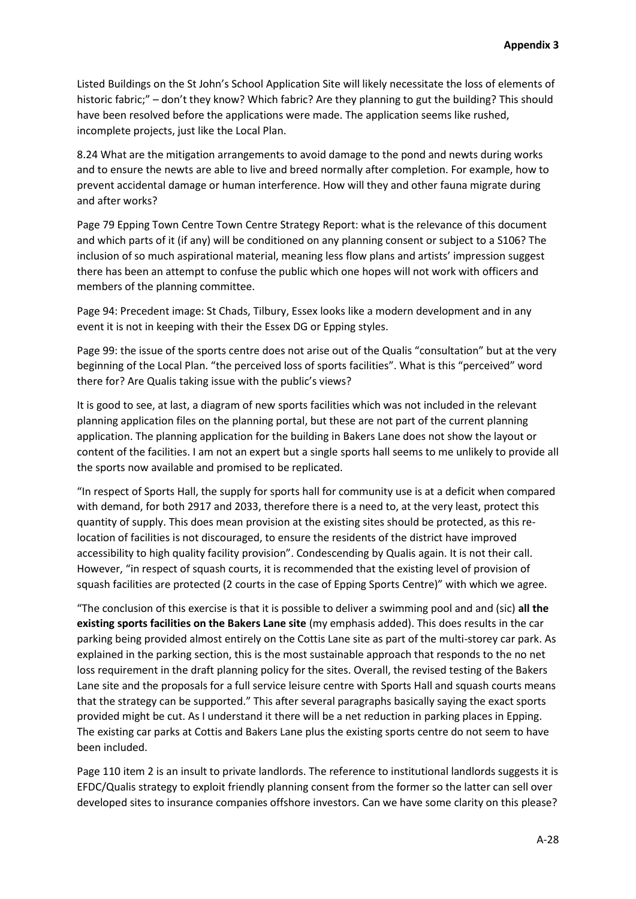Listed Buildings on the St John's School Application Site will likely necessitate the loss of elements of historic fabric;" – don't they know? Which fabric? Are they planning to gut the building? This should have been resolved before the applications were made. The application seems like rushed, incomplete projects, just like the Local Plan.

8.24 What are the mitigation arrangements to avoid damage to the pond and newts during works and to ensure the newts are able to live and breed normally after completion. For example, how to prevent accidental damage or human interference. How will they and other fauna migrate during and after works?

Page 79 Epping Town Centre Town Centre Strategy Report: what is the relevance of this document and which parts of it (if any) will be conditioned on any planning consent or subject to a S106? The inclusion of so much aspirational material, meaning less flow plans and artists' impression suggest there has been an attempt to confuse the public which one hopes will not work with officers and members of the planning committee.

Page 94: Precedent image: St Chads, Tilbury, Essex looks like a modern development and in any event it is not in keeping with their the Essex DG or Epping styles.

Page 99: the issue of the sports centre does not arise out of the Qualis "consultation" but at the very beginning of the Local Plan. "the perceived loss of sports facilities". What is this "perceived" word there for? Are Qualis taking issue with the public's views?

It is good to see, at last, a diagram of new sports facilities which was not included in the relevant planning application files on the planning portal, but these are not part of the current planning application. The planning application for the building in Bakers Lane does not show the layout or content of the facilities. I am not an expert but a single sports hall seems to me unlikely to provide all the sports now available and promised to be replicated.

"In respect of Sports Hall, the supply for sports hall for community use is at a deficit when compared with demand, for both 2917 and 2033, therefore there is a need to, at the very least, protect this quantity of supply. This does mean provision at the existing sites should be protected, as this relocation of facilities is not discouraged, to ensure the residents of the district have improved accessibility to high quality facility provision". Condescending by Qualis again. It is not their call. However, "in respect of squash courts, it is recommended that the existing level of provision of squash facilities are protected (2 courts in the case of Epping Sports Centre)" with which we agree.

"The conclusion of this exercise is that it is possible to deliver a swimming pool and and (sic) **all the existing sports facilities on the Bakers Lane site** (my emphasis added). This does results in the car parking being provided almost entirely on the Cottis Lane site as part of the multi-storey car park. As explained in the parking section, this is the most sustainable approach that responds to the no net loss requirement in the draft planning policy for the sites. Overall, the revised testing of the Bakers Lane site and the proposals for a full service leisure centre with Sports Hall and squash courts means that the strategy can be supported." This after several paragraphs basically saying the exact sports provided might be cut. As I understand it there will be a net reduction in parking places in Epping. The existing car parks at Cottis and Bakers Lane plus the existing sports centre do not seem to have been included.

Page 110 item 2 is an insult to private landlords. The reference to institutional landlords suggests it is EFDC/Qualis strategy to exploit friendly planning consent from the former so the latter can sell over developed sites to insurance companies offshore investors. Can we have some clarity on this please?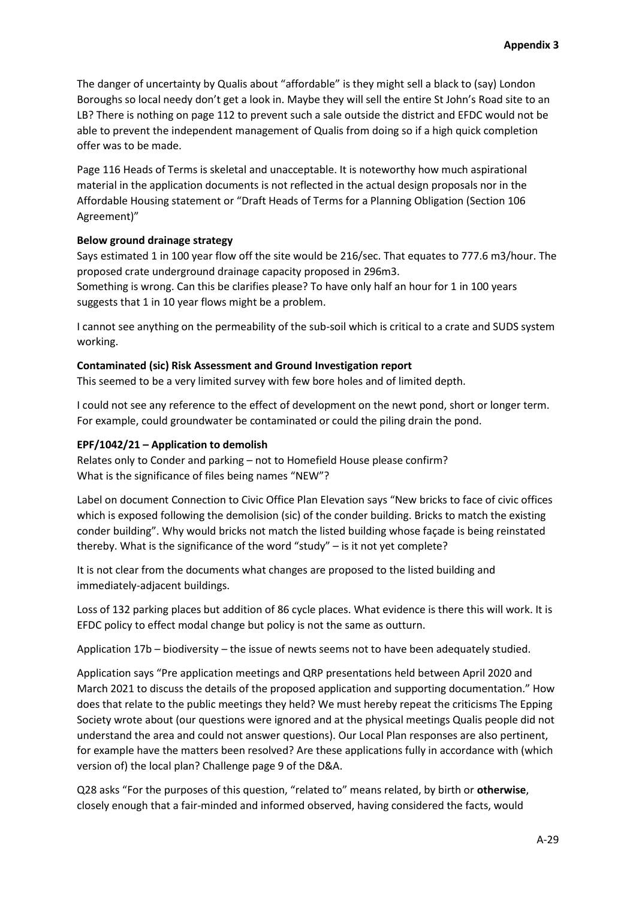The danger of uncertainty by Qualis about "affordable" is they might sell a black to (say) London Boroughs so local needy don't get a look in. Maybe they will sell the entire St John's Road site to an LB? There is nothing on page 112 to prevent such a sale outside the district and EFDC would not be able to prevent the independent management of Qualis from doing so if a high quick completion offer was to be made.

Page 116 Heads of Terms is skeletal and unacceptable. It is noteworthy how much aspirational material in the application documents is not reflected in the actual design proposals nor in the Affordable Housing statement or "Draft Heads of Terms for a Planning Obligation (Section 106 Agreement)"

### **Below ground drainage strategy**

Says estimated 1 in 100 year flow off the site would be 216/sec. That equates to 777.6 m3/hour. The proposed crate underground drainage capacity proposed in 296m3.

Something is wrong. Can this be clarifies please? To have only half an hour for 1 in 100 years suggests that 1 in 10 year flows might be a problem.

I cannot see anything on the permeability of the sub-soil which is critical to a crate and SUDS system working.

#### **Contaminated (sic) Risk Assessment and Ground Investigation report**

This seemed to be a very limited survey with few bore holes and of limited depth.

I could not see any reference to the effect of development on the newt pond, short or longer term. For example, could groundwater be contaminated or could the piling drain the pond.

## **EPF/1042/21 – Application to demolish**

Relates only to Conder and parking – not to Homefield House please confirm? What is the significance of files being names "NEW"?

Label on document Connection to Civic Office Plan Elevation says "New bricks to face of civic offices which is exposed following the demolision (sic) of the conder building. Bricks to match the existing conder building". Why would bricks not match the listed building whose façade is being reinstated thereby. What is the significance of the word "study" – is it not yet complete?

It is not clear from the documents what changes are proposed to the listed building and immediately-adjacent buildings.

Loss of 132 parking places but addition of 86 cycle places. What evidence is there this will work. It is EFDC policy to effect modal change but policy is not the same as outturn.

Application 17b – biodiversity – the issue of newts seems not to have been adequately studied.

Application says "Pre application meetings and QRP presentations held between April 2020 and March 2021 to discuss the details of the proposed application and supporting documentation." How does that relate to the public meetings they held? We must hereby repeat the criticisms The Epping Society wrote about (our questions were ignored and at the physical meetings Qualis people did not understand the area and could not answer questions). Our Local Plan responses are also pertinent, for example have the matters been resolved? Are these applications fully in accordance with (which version of) the local plan? Challenge page 9 of the D&A.

Q28 asks "For the purposes of this question, "related to" means related, by birth or **otherwise**, closely enough that a fair-minded and informed observed, having considered the facts, would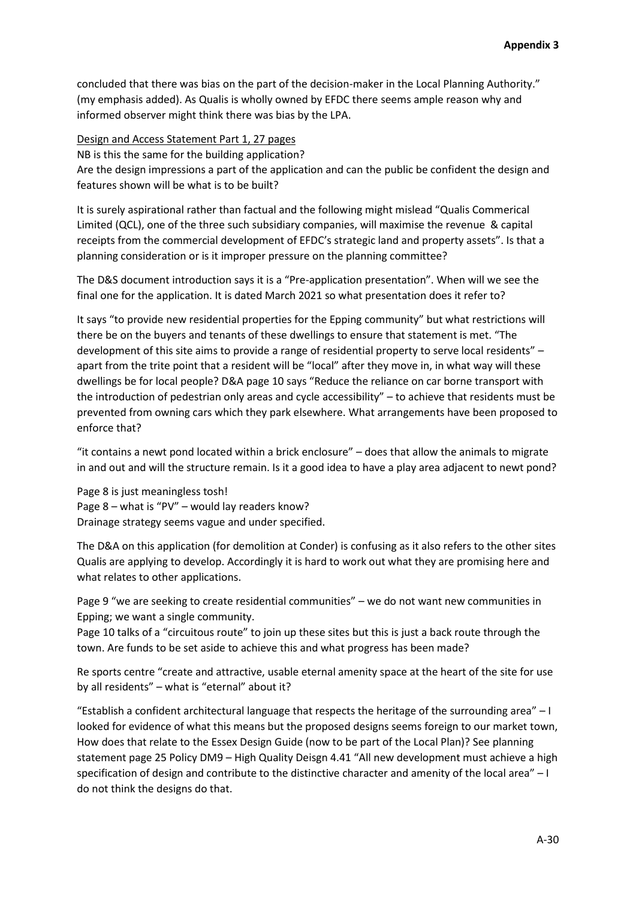concluded that there was bias on the part of the decision-maker in the Local Planning Authority." (my emphasis added). As Qualis is wholly owned by EFDC there seems ample reason why and informed observer might think there was bias by the LPA.

#### Design and Access Statement Part 1, 27 pages

NB is this the same for the building application?

Are the design impressions a part of the application and can the public be confident the design and features shown will be what is to be built?

It is surely aspirational rather than factual and the following might mislead "Qualis Commerical Limited (QCL), one of the three such subsidiary companies, will maximise the revenue & capital receipts from the commercial development of EFDC's strategic land and property assets". Is that a planning consideration or is it improper pressure on the planning committee?

The D&S document introduction says it is a "Pre-application presentation". When will we see the final one for the application. It is dated March 2021 so what presentation does it refer to?

It says "to provide new residential properties for the Epping community" but what restrictions will there be on the buyers and tenants of these dwellings to ensure that statement is met. "The development of this site aims to provide a range of residential property to serve local residents" – apart from the trite point that a resident will be "local" after they move in, in what way will these dwellings be for local people? D&A page 10 says "Reduce the reliance on car borne transport with the introduction of pedestrian only areas and cycle accessibility" – to achieve that residents must be prevented from owning cars which they park elsewhere. What arrangements have been proposed to enforce that?

"it contains a newt pond located within a brick enclosure" – does that allow the animals to migrate in and out and will the structure remain. Is it a good idea to have a play area adjacent to newt pond?

Page 8 is just meaningless tosh! Page 8 – what is "PV" – would lay readers know? Drainage strategy seems vague and under specified.

The D&A on this application (for demolition at Conder) is confusing as it also refers to the other sites Qualis are applying to develop. Accordingly it is hard to work out what they are promising here and what relates to other applications.

Page 9 "we are seeking to create residential communities" – we do not want new communities in Epping; we want a single community.

Page 10 talks of a "circuitous route" to join up these sites but this is just a back route through the town. Are funds to be set aside to achieve this and what progress has been made?

Re sports centre "create and attractive, usable eternal amenity space at the heart of the site for use by all residents" – what is "eternal" about it?

"Establish a confident architectural language that respects the heritage of the surrounding area"  $-1$ looked for evidence of what this means but the proposed designs seems foreign to our market town, How does that relate to the Essex Design Guide (now to be part of the Local Plan)? See planning statement page 25 Policy DM9 – High Quality Deisgn 4.41 "All new development must achieve a high specification of design and contribute to the distinctive character and amenity of the local area" - I do not think the designs do that.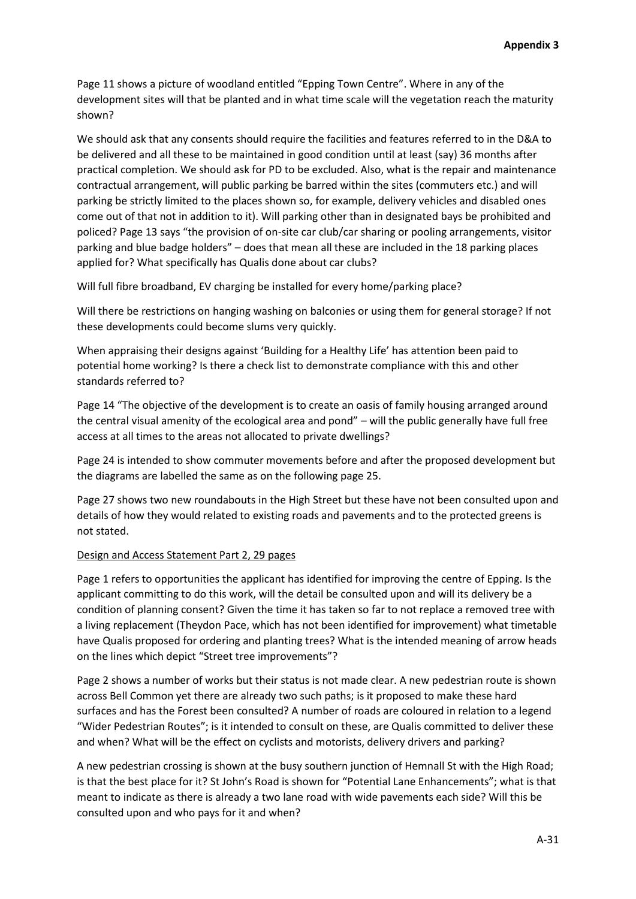Page 11 shows a picture of woodland entitled "Epping Town Centre". Where in any of the development sites will that be planted and in what time scale will the vegetation reach the maturity shown?

We should ask that any consents should require the facilities and features referred to in the D&A to be delivered and all these to be maintained in good condition until at least (say) 36 months after practical completion. We should ask for PD to be excluded. Also, what is the repair and maintenance contractual arrangement, will public parking be barred within the sites (commuters etc.) and will parking be strictly limited to the places shown so, for example, delivery vehicles and disabled ones come out of that not in addition to it). Will parking other than in designated bays be prohibited and policed? Page 13 says "the provision of on-site car club/car sharing or pooling arrangements, visitor parking and blue badge holders" – does that mean all these are included in the 18 parking places applied for? What specifically has Qualis done about car clubs?

Will full fibre broadband, EV charging be installed for every home/parking place?

Will there be restrictions on hanging washing on balconies or using them for general storage? If not these developments could become slums very quickly.

When appraising their designs against 'Building for a Healthy Life' has attention been paid to potential home working? Is there a check list to demonstrate compliance with this and other standards referred to?

Page 14 "The objective of the development is to create an oasis of family housing arranged around the central visual amenity of the ecological area and pond" – will the public generally have full free access at all times to the areas not allocated to private dwellings?

Page 24 is intended to show commuter movements before and after the proposed development but the diagrams are labelled the same as on the following page 25.

Page 27 shows two new roundabouts in the High Street but these have not been consulted upon and details of how they would related to existing roads and pavements and to the protected greens is not stated.

#### Design and Access Statement Part 2, 29 pages

Page 1 refers to opportunities the applicant has identified for improving the centre of Epping. Is the applicant committing to do this work, will the detail be consulted upon and will its delivery be a condition of planning consent? Given the time it has taken so far to not replace a removed tree with a living replacement (Theydon Pace, which has not been identified for improvement) what timetable have Qualis proposed for ordering and planting trees? What is the intended meaning of arrow heads on the lines which depict "Street tree improvements"?

Page 2 shows a number of works but their status is not made clear. A new pedestrian route is shown across Bell Common yet there are already two such paths; is it proposed to make these hard surfaces and has the Forest been consulted? A number of roads are coloured in relation to a legend "Wider Pedestrian Routes"; is it intended to consult on these, are Qualis committed to deliver these and when? What will be the effect on cyclists and motorists, delivery drivers and parking?

A new pedestrian crossing is shown at the busy southern junction of Hemnall St with the High Road; is that the best place for it? St John's Road is shown for "Potential Lane Enhancements"; what is that meant to indicate as there is already a two lane road with wide pavements each side? Will this be consulted upon and who pays for it and when?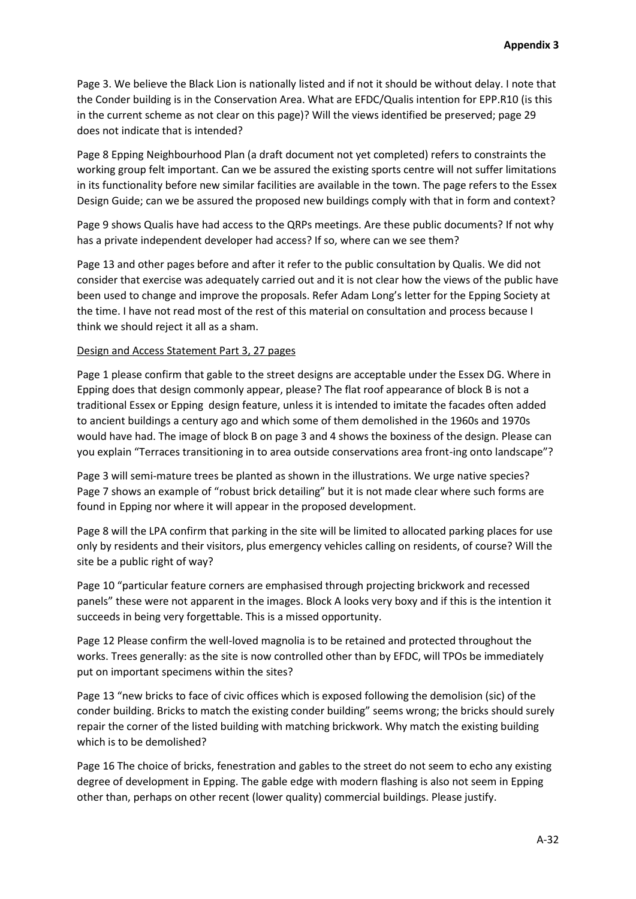Page 3. We believe the Black Lion is nationally listed and if not it should be without delay. I note that the Conder building is in the Conservation Area. What are EFDC/Qualis intention for EPP.R10 (is this in the current scheme as not clear on this page)? Will the views identified be preserved; page 29 does not indicate that is intended?

Page 8 Epping Neighbourhood Plan (a draft document not yet completed) refers to constraints the working group felt important. Can we be assured the existing sports centre will not suffer limitations in its functionality before new similar facilities are available in the town. The page refers to the Essex Design Guide; can we be assured the proposed new buildings comply with that in form and context?

Page 9 shows Qualis have had access to the QRPs meetings. Are these public documents? If not why has a private independent developer had access? If so, where can we see them?

Page 13 and other pages before and after it refer to the public consultation by Qualis. We did not consider that exercise was adequately carried out and it is not clear how the views of the public have been used to change and improve the proposals. Refer Adam Long's letter for the Epping Society at the time. I have not read most of the rest of this material on consultation and process because I think we should reject it all as a sham.

#### Design and Access Statement Part 3, 27 pages

Page 1 please confirm that gable to the street designs are acceptable under the Essex DG. Where in Epping does that design commonly appear, please? The flat roof appearance of block B is not a traditional Essex or Epping design feature, unless it is intended to imitate the facades often added to ancient buildings a century ago and which some of them demolished in the 1960s and 1970s would have had. The image of block B on page 3 and 4 shows the boxiness of the design. Please can you explain "Terraces transitioning in to area outside conservations area front-ing onto landscape"?

Page 3 will semi-mature trees be planted as shown in the illustrations. We urge native species? Page 7 shows an example of "robust brick detailing" but it is not made clear where such forms are found in Epping nor where it will appear in the proposed development.

Page 8 will the LPA confirm that parking in the site will be limited to allocated parking places for use only by residents and their visitors, plus emergency vehicles calling on residents, of course? Will the site be a public right of way?

Page 10 "particular feature corners are emphasised through projecting brickwork and recessed panels" these were not apparent in the images. Block A looks very boxy and if this is the intention it succeeds in being very forgettable. This is a missed opportunity.

Page 12 Please confirm the well-loved magnolia is to be retained and protected throughout the works. Trees generally: as the site is now controlled other than by EFDC, will TPOs be immediately put on important specimens within the sites?

Page 13 "new bricks to face of civic offices which is exposed following the demolision (sic) of the conder building. Bricks to match the existing conder building" seems wrong; the bricks should surely repair the corner of the listed building with matching brickwork. Why match the existing building which is to be demolished?

Page 16 The choice of bricks, fenestration and gables to the street do not seem to echo any existing degree of development in Epping. The gable edge with modern flashing is also not seem in Epping other than, perhaps on other recent (lower quality) commercial buildings. Please justify.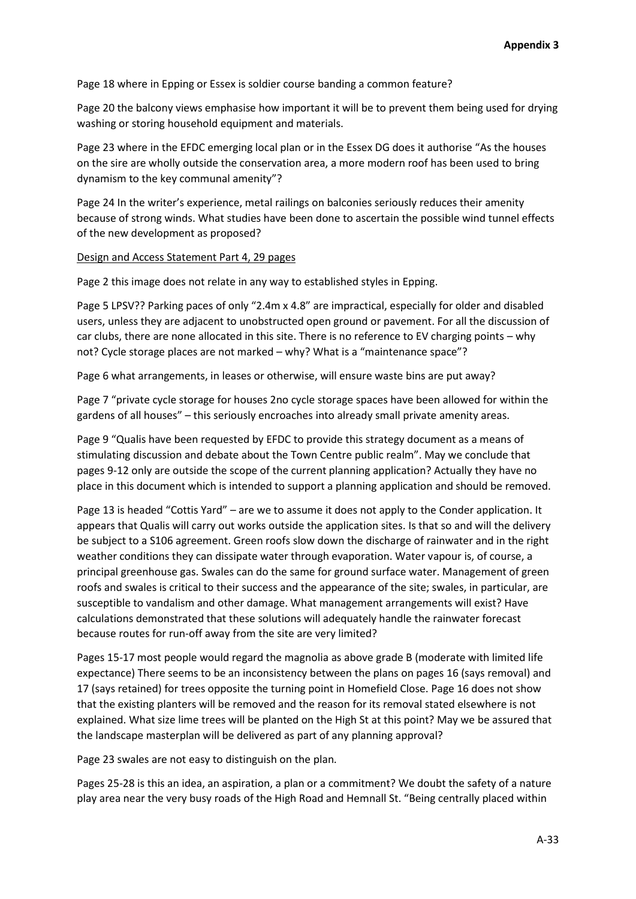Page 18 where in Epping or Essex is soldier course banding a common feature?

Page 20 the balcony views emphasise how important it will be to prevent them being used for drying washing or storing household equipment and materials.

Page 23 where in the EFDC emerging local plan or in the Essex DG does it authorise "As the houses on the sire are wholly outside the conservation area, a more modern roof has been used to bring dynamism to the key communal amenity"?

Page 24 In the writer's experience, metal railings on balconies seriously reduces their amenity because of strong winds. What studies have been done to ascertain the possible wind tunnel effects of the new development as proposed?

#### Design and Access Statement Part 4, 29 pages

Page 2 this image does not relate in any way to established styles in Epping.

Page 5 LPSV?? Parking paces of only "2.4m x 4.8" are impractical, especially for older and disabled users, unless they are adjacent to unobstructed open ground or pavement. For all the discussion of car clubs, there are none allocated in this site. There is no reference to EV charging points – why not? Cycle storage places are not marked – why? What is a "maintenance space"?

Page 6 what arrangements, in leases or otherwise, will ensure waste bins are put away?

Page 7 "private cycle storage for houses 2no cycle storage spaces have been allowed for within the gardens of all houses" – this seriously encroaches into already small private amenity areas.

Page 9 "Qualis have been requested by EFDC to provide this strategy document as a means of stimulating discussion and debate about the Town Centre public realm". May we conclude that pages 9-12 only are outside the scope of the current planning application? Actually they have no place in this document which is intended to support a planning application and should be removed.

Page 13 is headed "Cottis Yard" – are we to assume it does not apply to the Conder application. It appears that Qualis will carry out works outside the application sites. Is that so and will the delivery be subject to a S106 agreement. Green roofs slow down the discharge of rainwater and in the right weather conditions they can dissipate water through evaporation. Water vapour is, of course, a principal greenhouse gas. Swales can do the same for ground surface water. Management of green roofs and swales is critical to their success and the appearance of the site; swales, in particular, are susceptible to vandalism and other damage. What management arrangements will exist? Have calculations demonstrated that these solutions will adequately handle the rainwater forecast because routes for run-off away from the site are very limited?

Pages 15-17 most people would regard the magnolia as above grade B (moderate with limited life expectance) There seems to be an inconsistency between the plans on pages 16 (says removal) and 17 (says retained) for trees opposite the turning point in Homefield Close. Page 16 does not show that the existing planters will be removed and the reason for its removal stated elsewhere is not explained. What size lime trees will be planted on the High St at this point? May we be assured that the landscape masterplan will be delivered as part of any planning approval?

Page 23 swales are not easy to distinguish on the plan.

Pages 25-28 is this an idea, an aspiration, a plan or a commitment? We doubt the safety of a nature play area near the very busy roads of the High Road and Hemnall St. "Being centrally placed within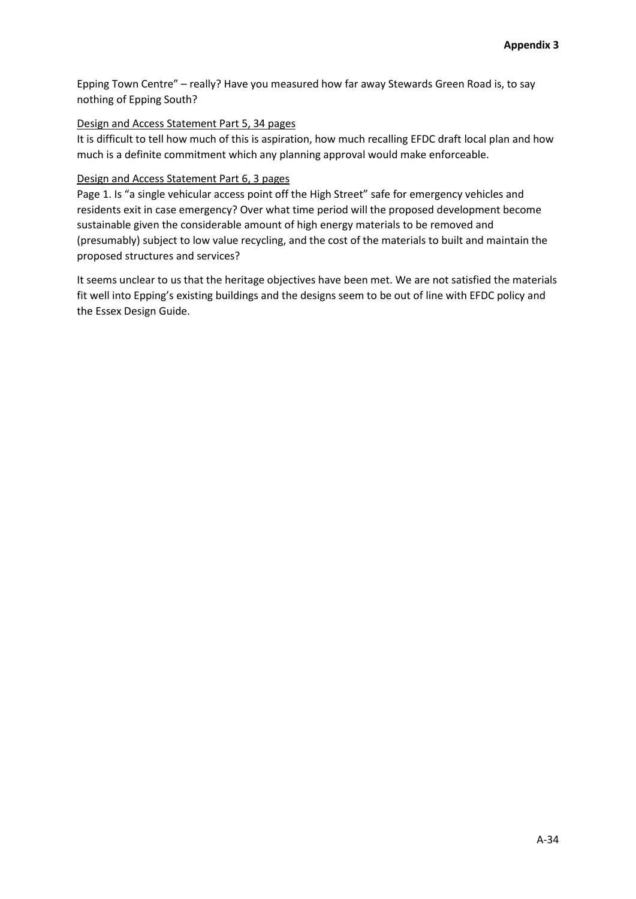Epping Town Centre" – really? Have you measured how far away Stewards Green Road is, to say nothing of Epping South?

#### Design and Access Statement Part 5, 34 pages

It is difficult to tell how much of this is aspiration, how much recalling EFDC draft local plan and how much is a definite commitment which any planning approval would make enforceable.

### Design and Access Statement Part 6, 3 pages

Page 1. Is "a single vehicular access point off the High Street" safe for emergency vehicles and residents exit in case emergency? Over what time period will the proposed development become sustainable given the considerable amount of high energy materials to be removed and (presumably) subject to low value recycling, and the cost of the materials to built and maintain the proposed structures and services?

It seems unclear to us that the heritage objectives have been met. We are not satisfied the materials fit well into Epping's existing buildings and the designs seem to be out of line with EFDC policy and the Essex Design Guide.